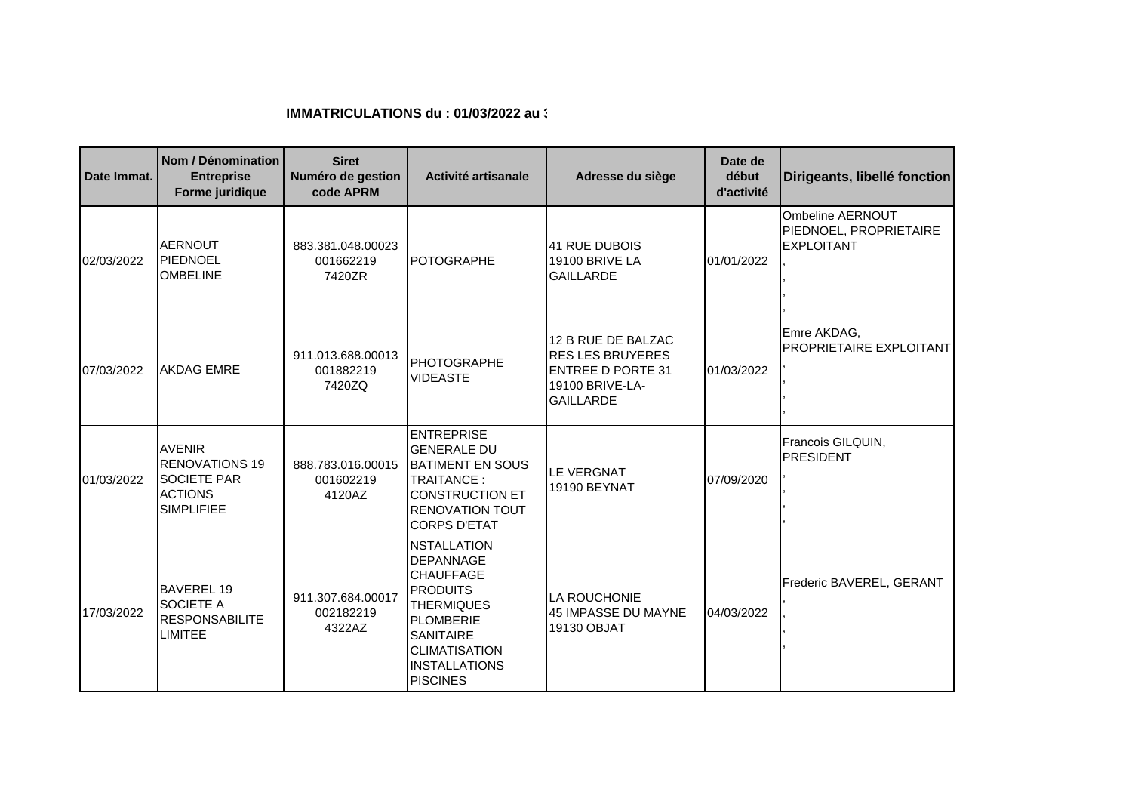## **IMMATRICULATIONS du : 01/03/2022 au 31**

| Date Immat. | Nom / Dénomination<br><b>Entreprise</b><br>Forme juridique                                          | <b>Siret</b><br>Numéro de gestion<br>code APRM | Activité artisanale                                                                                                                                                                                           | Adresse du siège                                                                                                 | Date de<br>début<br>d'activité | Dirigeants, libellé fonction                                    |
|-------------|-----------------------------------------------------------------------------------------------------|------------------------------------------------|---------------------------------------------------------------------------------------------------------------------------------------------------------------------------------------------------------------|------------------------------------------------------------------------------------------------------------------|--------------------------------|-----------------------------------------------------------------|
| 02/03/2022  | AERNOUT<br>PIEDNOEL<br><b>OMBELINE</b>                                                              | 883.381.048.00023<br>001662219<br>7420ZR       | <b>POTOGRAPHE</b>                                                                                                                                                                                             | <b>41 RUE DUBOIS</b><br>19100 BRIVE LA<br><b>GAILLARDE</b>                                                       | 01/01/2022                     | Ombeline AERNOUT<br>PIEDNOEL, PROPRIETAIRE<br><b>EXPLOITANT</b> |
| 07/03/2022  | <b>AKDAG EMRE</b>                                                                                   | 911.013.688.00013<br>001882219<br>7420ZQ       | <b>PHOTOGRAPHE</b><br><b>VIDEASTE</b>                                                                                                                                                                         | 12 B RUE DE BALZAC<br><b>RES LES BRUYERES</b><br><b>ENTREE D PORTE 31</b><br>19100 BRIVE-LA-<br><b>GAILLARDE</b> | 01/03/2022                     | Emre AKDAG,<br><b>PROPRIETAIRE EXPLOITANT</b>                   |
| 01/03/2022  | <b>AVENIR</b><br><b>RENOVATIONS 19</b><br><b>SOCIETE PAR</b><br><b>ACTIONS</b><br><b>SIMPLIFIEE</b> | 888.783.016.00015<br>001602219<br>4120AZ       | <b>ENTREPRISE</b><br><b>GENERALE DU</b><br><b>BATIMENT EN SOUS</b><br>TRAITANCE:<br><b>CONSTRUCTION ET</b><br><b>RENOVATION TOUT</b><br><b>CORPS D'ETAT</b>                                                   | <b>LE VERGNAT</b><br>19190 BEYNAT                                                                                | 07/09/2020                     | Francois GILQUIN,<br><b>PRESIDENT</b>                           |
| 17/03/2022  | <b>BAVEREL 19</b><br><b>SOCIETE A</b><br><b>RESPONSABILITE</b><br><b>LIMITEE</b>                    | 911.307.684.00017<br>002182219<br>4322AZ       | <b>NSTALLATION</b><br><b>DEPANNAGE</b><br><b>CHAUFFAGE</b><br><b>PRODUITS</b><br><b>THERMIQUES</b><br><b>PLOMBERIE</b><br><b>SANITAIRE</b><br><b>CLIMATISATION</b><br><b>INSTALLATIONS</b><br><b>PISCINES</b> | LA ROUCHONIE<br>45 IMPASSE DU MAYNE<br>19130 OBJAT                                                               | 04/03/2022                     | Frederic BAVEREL, GERANT                                        |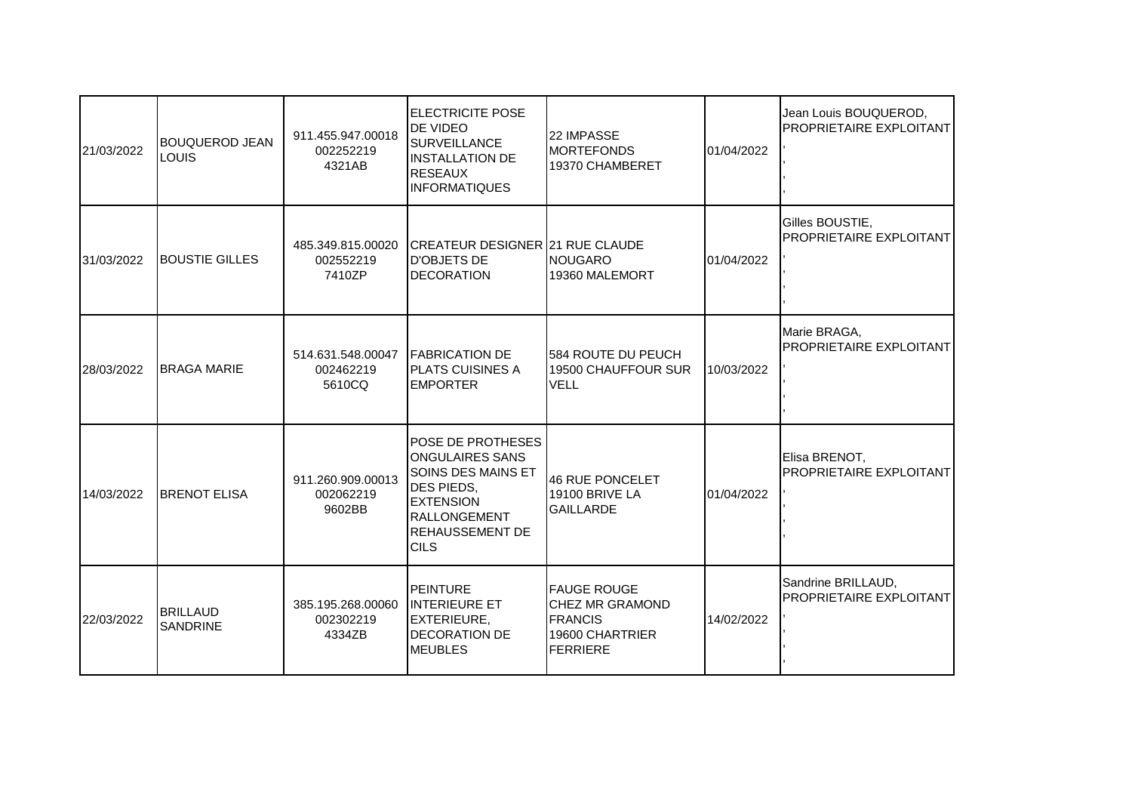| 21/03/2022 | <b>BOUQUEROD JEAN</b><br>LOUIS     | 911.455.947.00018<br>002252219<br>4321AB                  | <b>ELECTRICITE POSE</b><br><b>DE VIDEO</b><br><b>SURVEILLANCE</b><br><b>INSTALLATION DE</b><br><b>RESEAUX</b><br><b>INFORMATIQUES</b>                                             | <b>22 IMPASSE</b><br><b>MORTEFONDS</b><br>19370 CHAMBERET                                     | 01/04/2022 | Jean Louis BOUQUEROD,<br>PROPRIETAIRE EXPLOITANT |
|------------|------------------------------------|-----------------------------------------------------------|-----------------------------------------------------------------------------------------------------------------------------------------------------------------------------------|-----------------------------------------------------------------------------------------------|------------|--------------------------------------------------|
| 31/03/2022 | <b>BOUSTIE GILLES</b>              | 485.349.815.00020<br>002552219<br>7410ZP                  | ICREATEUR DESIGNER 21 RUE CLAUDE<br><b>D'OBJETS DE</b><br><b>DECORATION</b>                                                                                                       | <b>INOUGARO</b><br>19360 MALEMORT                                                             | 01/04/2022 | Gilles BOUSTIE,<br>PROPRIETAIRE EXPLOITANT       |
| 28/03/2022 | <b>I</b> BRAGA MARIE               | 514.631.548.00047   FABRICATION DE<br>002462219<br>5610CQ | <b>IPLATS CUISINES A</b><br><b>EMPORTER</b>                                                                                                                                       | 584 ROUTE DU PEUCH<br>19500 CHAUFFOUR SUR<br><b>VELL</b>                                      | 10/03/2022 | Marie BRAGA,<br>PROPRIETAIRE EXPLOITANT          |
| 14/03/2022 | <b>I</b> BRENOT ELISA              | 911.260.909.00013<br>002062219<br>9602BB                  | <b>POSE DE PROTHESES</b><br><b>ONGULAIRES SANS</b><br>SOINS DES MAINS ET<br><b>DES PIEDS,</b><br><b>EXTENSION</b><br><b>RALLONGEMENT</b><br><b>REHAUSSEMENT DE</b><br><b>CILS</b> | 46 RUE PONCELET<br><b>19100 BRIVE LA</b><br><b>GAILLARDE</b>                                  | 01/04/2022 | Elisa BRENOT,<br>PROPRIETAIRE EXPLOITANT         |
| 22/03/2022 | <b>BRILLAUD</b><br><b>SANDRINE</b> | 385.195.268.00060<br>002302219<br>4334ZB                  | <b>PEINTURE</b><br><b>INTERIEURE ET</b><br><b>EXTERIEURE,</b><br><b>DECORATION DE</b><br><b>MEUBLES</b>                                                                           | <b>FAUGE ROUGE</b><br><b>CHEZ MR GRAMOND</b><br><b>FRANCIS</b><br>19600 CHARTRIER<br>FERRIERE | 14/02/2022 | Sandrine BRILLAUD,<br>PROPRIETAIRE EXPLOITANT    |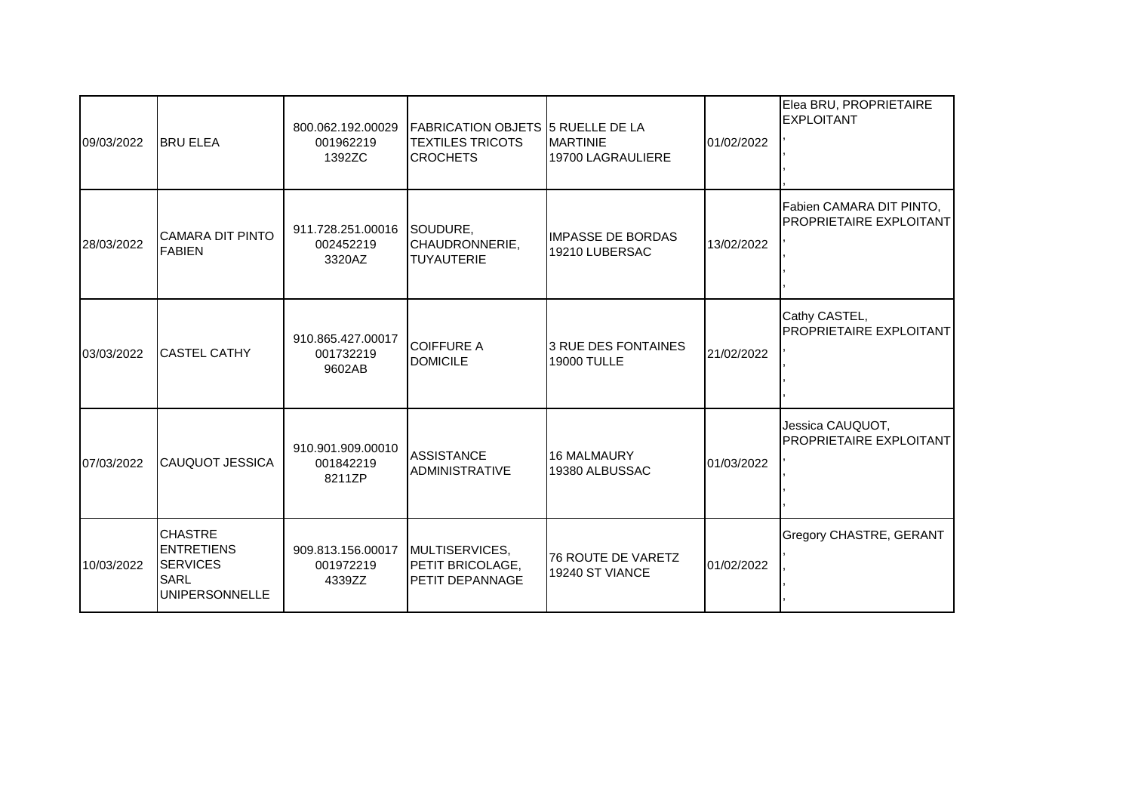| 09/03/2022 | <b>BRU ELEA</b>                                                                         | 800.062.192.00029<br>001962219<br>1392ZC                  | <b>FABRICATION OBJETS 5 RUELLE DE LA</b><br><b>TEXTILES TRICOTS</b><br><b>CROCHETS</b> | <b>MARTINIE</b><br>19700 LAGRAULIERE       | 01/02/2022 | Elea BRU, PROPRIETAIRE<br><b>EXPLOITANT</b>                |
|------------|-----------------------------------------------------------------------------------------|-----------------------------------------------------------|----------------------------------------------------------------------------------------|--------------------------------------------|------------|------------------------------------------------------------|
| 28/03/2022 | <b>CAMARA DIT PINTO</b><br><b>FABIEN</b>                                                | 911.728.251.00016 SOUDURE,<br>002452219<br>3320AZ         | CHAUDRONNERIE,<br><b>TUYAUTERIE</b>                                                    | <b>IMPASSE DE BORDAS</b><br>19210 LUBERSAC | 13/02/2022 | Fabien CAMARA DIT PINTO,<br><b>PROPRIETAIRE EXPLOITANT</b> |
| 03/03/2022 | <b>CASTEL CATHY</b>                                                                     | 910.865.427.00017<br>001732219<br>9602AB                  | <b>COIFFURE A</b><br><b>DOMICILE</b>                                                   | 3 RUE DES FONTAINES<br><b>19000 TULLE</b>  | 21/02/2022 | Cathy CASTEL,<br>PROPRIETAIRE EXPLOITANT                   |
| 07/03/2022 | <b>CAUQUOT JESSICA</b>                                                                  | 910.901.909.00010<br>001842219<br>8211ZP                  | <b>ASSISTANCE</b><br><b>ADMINISTRATIVE</b>                                             | <b>16 MALMAURY</b><br>19380 ALBUSSAC       | 01/03/2022 | Jessica CAUQUOT,<br>PROPRIETAIRE EXPLOITANT                |
| 10/03/2022 | <b>CHASTRE</b><br><b>ENTRETIENS</b><br><b>SERVICES</b><br>SARL<br><b>UNIPERSONNELLE</b> | 909.813.156.00017   MULTISERVICES,<br>001972219<br>4339ZZ | IPETIT BRICOLAGE.<br>PETIT DEPANNAGE                                                   | 76 ROUTE DE VARETZ<br>19240 ST VIANCE      | 01/02/2022 | <b>Gregory CHASTRE, GERANT</b>                             |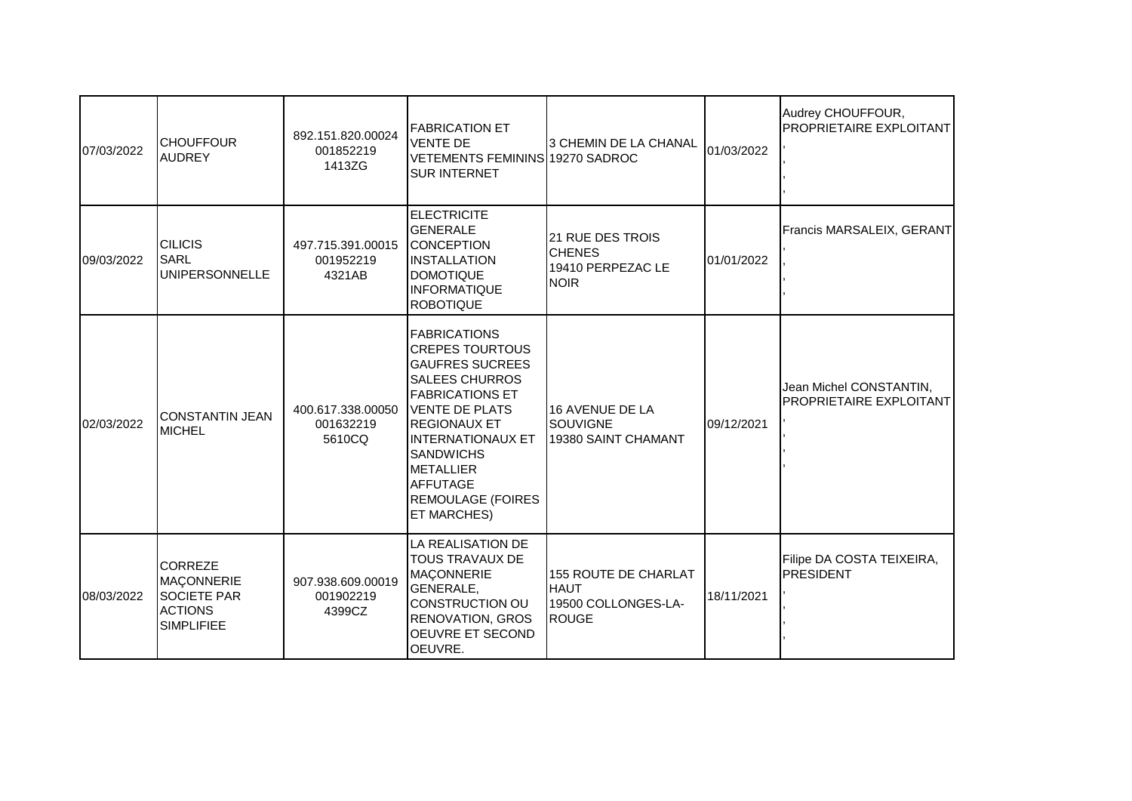| 07/03/2022 | <b>I</b> CHOUFFOUR<br><b>AUDREY</b>                                                       | 892.151.820.00024<br>001852219<br>1413ZG | <b>FABRICATION ET</b><br><b>VENTE DE</b><br><b>VETEMENTS FEMININS 19270 SADROC</b><br><b>SUR INTERNET</b>                                                                                                                                                                                                     | I3 CHEMIN DE LA CHANAL                                                      | 01/03/2022 | Audrey CHOUFFOUR,<br><b>PROPRIETAIRE EXPLOITANT</b> |
|------------|-------------------------------------------------------------------------------------------|------------------------------------------|---------------------------------------------------------------------------------------------------------------------------------------------------------------------------------------------------------------------------------------------------------------------------------------------------------------|-----------------------------------------------------------------------------|------------|-----------------------------------------------------|
| 09/03/2022 | <b>CILICIS</b><br>SARL<br><b>UNIPERSONNELLE</b>                                           | 497.715.391.00015<br>001952219<br>4321AB | <b>ELECTRICITE</b><br><b>GENERALE</b><br>CONCEPTION<br><b>INSTALLATION</b><br><b>DOMOTIQUE</b><br><b>INFORMATIQUE</b><br><b>ROBOTIQUE</b>                                                                                                                                                                     | 21 RUE DES TROIS<br><b>CHENES</b><br>19410 PERPEZAC LE<br><b>NOIR</b>       | 01/01/2022 | Francis MARSALEIX, GERANT                           |
| 02/03/2022 | CONSTANTIN JEAN<br>MICHEL                                                                 | 400.617.338.00050<br>001632219<br>5610CQ | <b>FABRICATIONS</b><br><b>CREPES TOURTOUS</b><br><b>GAUFRES SUCREES</b><br><b>SALEES CHURROS</b><br><b>FABRICATIONS ET</b><br><b>IVENTE DE PLATS</b><br><b>REGIONAUX ET</b><br><b>INTERNATIONAUX ET</b><br><b>SANDWICHS</b><br><b>METALLIER</b><br><b>AFFUTAGE</b><br><b>REMOULAGE (FOIRES</b><br>ET MARCHES) | 16 AVENUE DE LA<br>SOUVIGNE<br>19380 SAINT CHAMANT                          | 09/12/2021 | Jean Michel CONSTANTIN,<br>PROPRIETAIRE EXPLOITANT  |
| 08/03/2022 | <b>CORREZE</b><br>MACONNERIE<br><b>SOCIETE PAR</b><br><b>ACTIONS</b><br><b>SIMPLIFIEE</b> | 907.938.609.00019<br>001902219<br>4399CZ | LA REALISATION DE<br><b>TOUS TRAVAUX DE</b><br><b>MAÇONNERIE</b><br>GENERALE,<br><b>CONSTRUCTION OU</b><br><b>RENOVATION, GROS</b><br>OEUVRE ET SECOND<br>OEUVRE.                                                                                                                                             | 155 ROUTE DE CHARLAT<br><b>HAUT</b><br>19500 COLLONGES-LA-<br><b>IROUGE</b> | 18/11/2021 | Filipe DA COSTA TEIXEIRA,<br><b>PRESIDENT</b>       |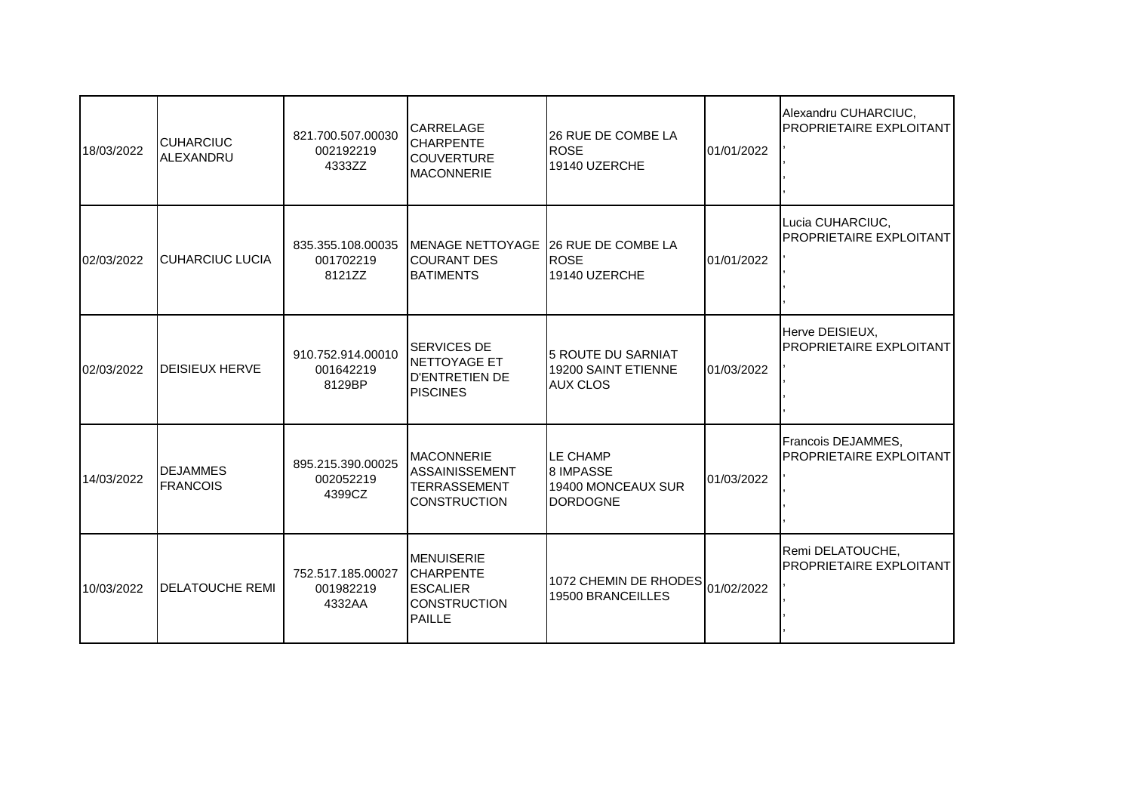| 18/03/2022 | <b>I</b> CUHARCIUC<br>ALEXANDRU    | 821.700.507.00030<br>002192219<br>4333ZZ | <b>CARRELAGE</b><br><b>CHARPENTE</b><br><b>COUVERTURE</b><br><b>MACONNERIE</b>             | 26 RUE DE COMBE LA<br><b>ROSE</b><br>19140 UZERCHE                           | 01/01/2022 | Alexandru CUHARCIUC,<br>PROPRIETAIRE EXPLOITANT      |
|------------|------------------------------------|------------------------------------------|--------------------------------------------------------------------------------------------|------------------------------------------------------------------------------|------------|------------------------------------------------------|
| 02/03/2022 | <b>CUHARCIUC LUCIA</b>             | 835.355.108.00035<br>001702219<br>8121ZZ | MENAGE NETTOYAGE 26 RUE DE COMBE LA<br><b>ICOURANT DES</b><br><b>BATIMENTS</b>             | ROSE<br>19140 UZERCHE                                                        | 01/01/2022 | Lucia CUHARCIUC,<br>PROPRIETAIRE EXPLOITANT          |
| 02/03/2022 | <b>I</b> DEISIEUX HERVE            | 910.752.914.00010<br>001642219<br>8129BP | <b>SERVICES DE</b><br>NETTOYAGE ET<br><b>D'ENTRETIEN DE</b><br><b>PISCINES</b>             | 5 ROUTE DU SARNIAT<br>19200 SAINT ETIENNE<br><b>AUX CLOS</b>                 | 01/03/2022 | Herve DEISIEUX,<br><b>PROPRIETAIRE EXPLOITANT</b>    |
| 14/03/2022 | <b>DEJAMMES</b><br><b>FRANCOIS</b> | 895.215.390.00025<br>002052219<br>4399CZ | <b>MACONNERIE</b><br><b>ASSAINISSEMENT</b><br><b>TERRASSEMENT</b><br><b>CONSTRUCTION</b>   | <b>LE CHAMP</b><br><b>8 IMPASSE</b><br>19400 MONCEAUX SUR<br><b>DORDOGNE</b> | 01/03/2022 | Francois DEJAMMES,<br><b>PROPRIETAIRE EXPLOITANT</b> |
| 10/03/2022 | <b>DELATOUCHE REMI</b>             | 752.517.185.00027<br>001982219<br>4332AA | <b>MENUISERIE</b><br><b>CHARPENTE</b><br><b>ESCALIER</b><br>ICONSTRUCTION<br><b>PAILLE</b> | 1072 CHEMIN DE RHODES<br>19500 BRANCEILLES                                   | 01/02/2022 | Remi DELATOUCHE,<br>PROPRIETAIRE EXPLOITANT          |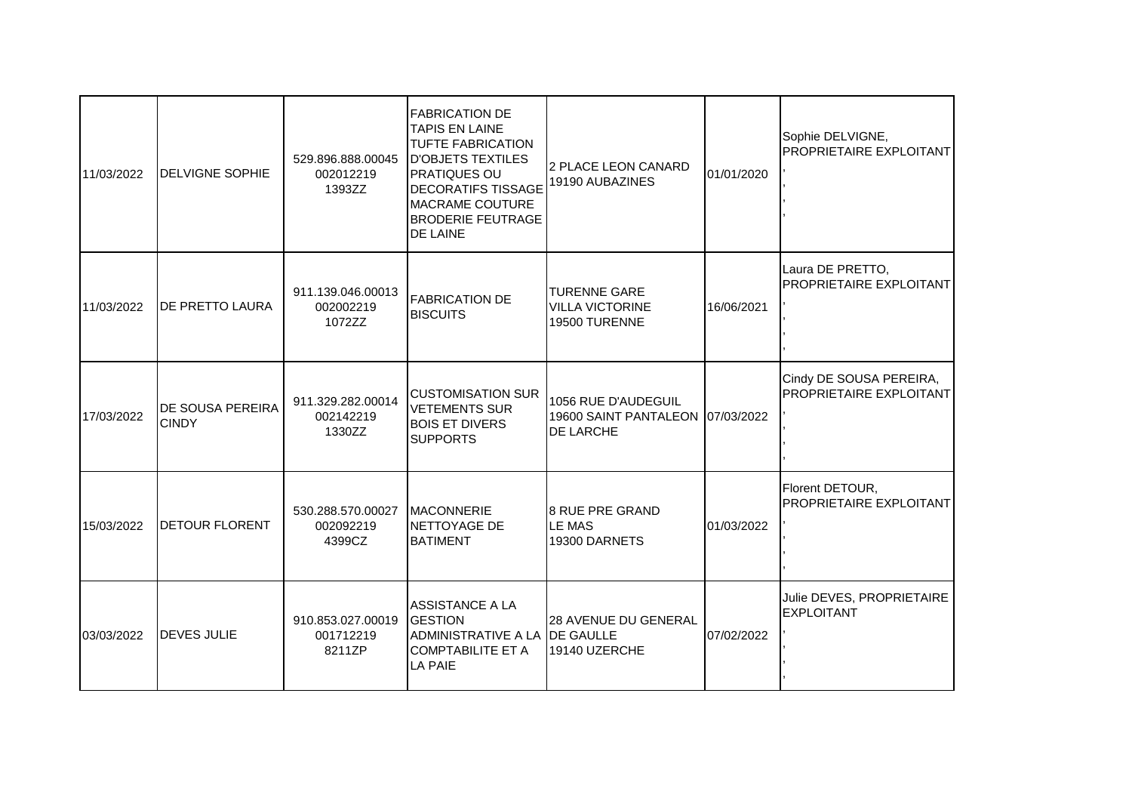| 11/03/2022 | <b>DELVIGNE SOPHIE</b>                  | 529.896.888.00045<br>002012219<br>1393ZZ | <b>FABRICATION DE</b><br><b>TAPIS EN LAINE</b><br><b>TUFTE FABRICATION</b><br><b>D'OBJETS TEXTILES</b><br><b>PRATIQUES OU</b><br><b>DECORATIFS TISSAGE</b><br><b>MACRAME COUTURE</b><br><b>BRODERIE FEUTRAGE</b><br><b>DE LAINE</b> | 2 PLACE LEON CANARD<br>19190 AUBAZINES                               | 01/01/2020 | Sophie DELVIGNE,<br>PROPRIETAIRE EXPLOITANT               |
|------------|-----------------------------------------|------------------------------------------|-------------------------------------------------------------------------------------------------------------------------------------------------------------------------------------------------------------------------------------|----------------------------------------------------------------------|------------|-----------------------------------------------------------|
| 11/03/2022 | DE PRETTO LAURA                         | 911.139.046.00013<br>002002219<br>1072ZZ | <b>FABRICATION DE</b><br><b>BISCUITS</b>                                                                                                                                                                                            | <b>TURENNE GARE</b><br><b>VILLA VICTORINE</b><br>19500 TURENNE       | 16/06/2021 | Laura DE PRETTO,<br><b>PROPRIETAIRE EXPLOITANT</b>        |
| 17/03/2022 | <b>DE SOUSA PEREIRA</b><br><b>CINDY</b> | 911.329.282.00014<br>002142219<br>1330ZZ | <b>CUSTOMISATION SUR</b><br><b>VETEMENTS SUR</b><br><b>BOIS ET DIVERS</b><br><b>SUPPORTS</b>                                                                                                                                        | 1056 RUE D'AUDEGUIL<br>19600 SAINT PANTALEON 07/03/2022<br>DE LARCHE |            | Cindy DE SOUSA PEREIRA,<br><b>PROPRIETAIRE EXPLOITANT</b> |
| 15/03/2022 | <b>DETOUR FLORENT</b>                   | 530.288.570.00027<br>002092219<br>4399CZ | <b>MACONNERIE</b><br>NETTOYAGE DE<br><b>BATIMENT</b>                                                                                                                                                                                | <b>8 RUE PRE GRAND</b><br><b>LE MAS</b><br>19300 DARNETS             | 01/03/2022 | Florent DETOUR,<br>PROPRIETAIRE EXPLOITANT                |
| 03/03/2022 | <b>DEVES JULIE</b>                      | 910.853.027.00019<br>001712219<br>8211ZP | <b>ASSISTANCE A LA</b><br><b>GESTION</b><br>ADMINISTRATIVE A LA <b>IDE GAULLE</b><br><b>COMPTABILITE ET A</b><br><b>LA PAIE</b>                                                                                                     | 28 AVENUE DU GENERAL<br>19140 UZERCHE                                | 07/02/2022 | Julie DEVES, PROPRIETAIRE<br><b>EXPLOITANT</b>            |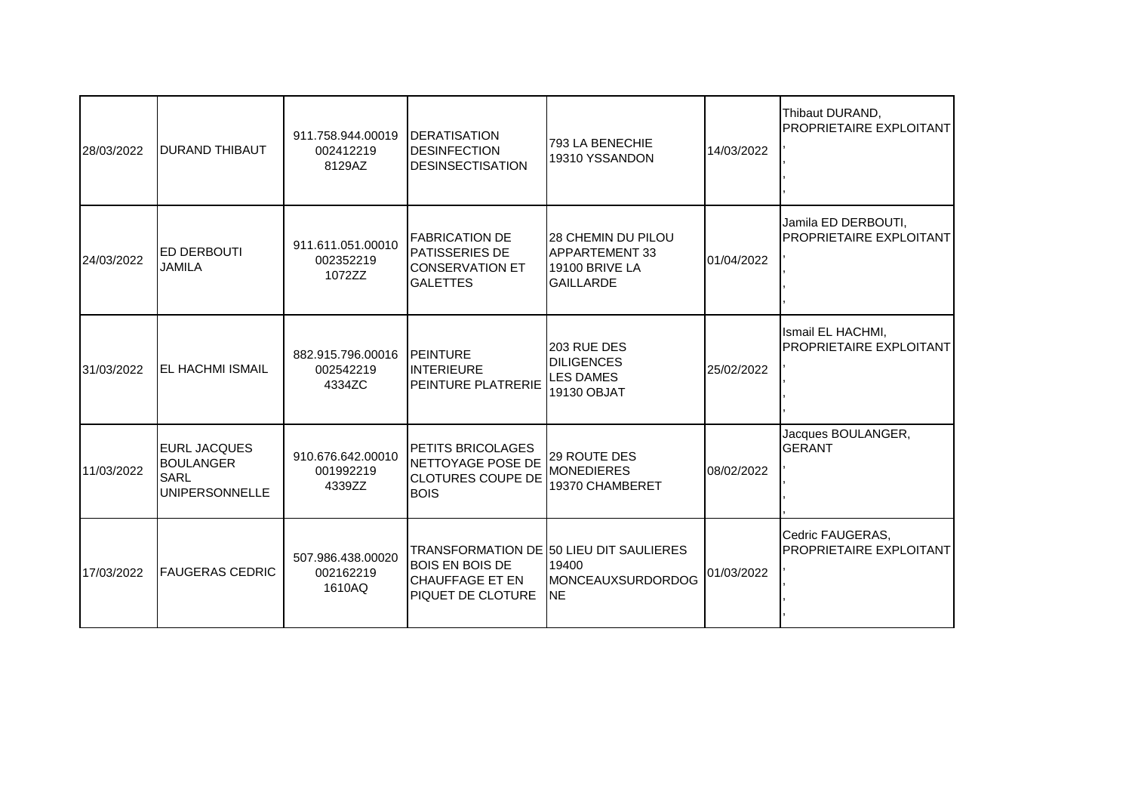| 28/03/2022 | <b>DURAND THIBAUT</b>                                                            | 911.758.944.00019<br>002412219<br>8129AZ | <b>IDERATISATION</b><br><b>DESINFECTION</b><br>DESINSECTISATION                              | 793 LA BENECHIE<br>19310 YSSANDON                                                               | 14/03/2022 | Thibaut DURAND,<br><b>PROPRIETAIRE EXPLOITANT</b>     |
|------------|----------------------------------------------------------------------------------|------------------------------------------|----------------------------------------------------------------------------------------------|-------------------------------------------------------------------------------------------------|------------|-------------------------------------------------------|
| 24/03/2022 | <b>IED DERBOUTI</b><br><b>JAMILA</b>                                             | 911.611.051.00010<br>002352219<br>1072ZZ | <b>FABRICATION DE</b><br><b>PATISSERIES DE</b><br><b>ICONSERVATION ET</b><br><b>GALETTES</b> | <b>28 CHEMIN DU PILOU</b><br><b>APPARTEMENT 33</b><br><b>19100 BRIVE LA</b><br><b>GAILLARDE</b> | 01/04/2022 | Jamila ED DERBOUTI,<br><b>PROPRIETAIRE EXPLOITANT</b> |
| 31/03/2022 | <b>IEL HACHMI ISMAIL</b>                                                         | 882.915.796.00016<br>002542219<br>4334ZC | <b>IPEINTURE</b><br><b>INTERIEURE</b><br><b>PEINTURE PLATRERIE</b>                           | 203 RUE DES<br><b>DILIGENCES</b><br><b>LES DAMES</b><br>19130 OBJAT                             | 25/02/2022 | Ismail EL HACHMI,<br><b>PROPRIETAIRE EXPLOITANT</b>   |
| 11/03/2022 | <b>IEURL JACQUES</b><br><b>BOULANGER</b><br><b>SARL</b><br><b>UNIPERSONNELLE</b> | 910.676.642.00010<br>001992219<br>4339ZZ | PETITS BRICOLAGES<br>NETTOYAGE POSE DE<br><b>CLOTURES COUPE DE</b><br><b>BOIS</b>            | <b>29 ROUTE DES</b><br><b>MONEDIERES</b><br>19370 CHAMBERET                                     | 08/02/2022 | Jacques BOULANGER,<br><b>IGERANT</b>                  |
| 17/03/2022 | <b>IFAUGERAS CEDRIC</b>                                                          | 507.986.438.00020<br>002162219<br>1610AQ | <b>BOIS EN BOIS DE</b><br><b>CHAUFFAGE ET EN</b><br>PIQUET DE CLOTURE                        | TRANSFORMATION DE 50 LIEU DIT SAULIERES<br>19400<br>MONCEAUXSURDORDOG<br><b>INE</b>             | 01/03/2022 | Cedric FAUGERAS,<br><b>PROPRIETAIRE EXPLOITANT</b>    |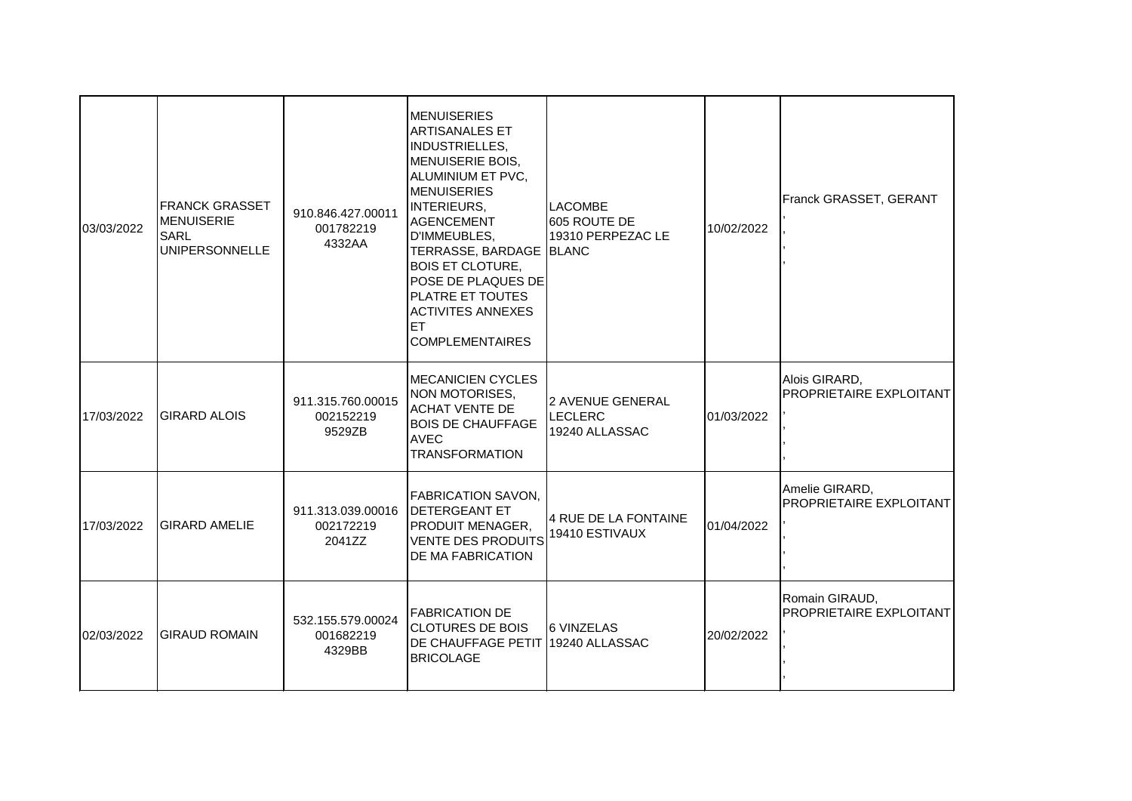| 03/03/2022 | <b>FRANCK GRASSET</b><br><b>MENUISERIE</b><br><b>SARL</b><br><b>UNIPERSONNELLE</b> | 910.846.427.00011<br>001782219<br>4332AA | <b>IMENUISERIES</b><br><b>ARTISANALES ET</b><br><b>INDUSTRIELLES,</b><br>MENUISERIE BOIS,<br>ALUMINIUM ET PVC,<br><b>MENUISERIES</b><br>INTERIEURS,<br><b>AGENCEMENT</b><br>D'IMMEUBLES,<br>TERRASSE, BARDAGE BLANC<br><b>BOIS ET CLOTURE,</b><br><b>IPOSE DE PLAQUES DE</b> l<br><b>PLATRE ET TOUTES</b><br><b>ACTIVITES ANNEXES</b><br><b>ET</b><br><b>COMPLEMENTAIRES</b> | <b>LACOMBE</b><br>605 ROUTE DE<br>19310 PERPEZAC LE  | 10/02/2022 | Franck GRASSET, GERANT                           |
|------------|------------------------------------------------------------------------------------|------------------------------------------|------------------------------------------------------------------------------------------------------------------------------------------------------------------------------------------------------------------------------------------------------------------------------------------------------------------------------------------------------------------------------|------------------------------------------------------|------------|--------------------------------------------------|
| 17/03/2022 | <b>GIRARD ALOIS</b>                                                                | 911.315.760.00015<br>002152219<br>9529ZB | <b>MECANICIEN CYCLES</b><br>NON MOTORISES,<br><b>ACHAT VENTE DE</b><br><b>BOIS DE CHAUFFAGE</b><br><b>AVEC</b><br><b>TRANSFORMATION</b>                                                                                                                                                                                                                                      | 2 AVENUE GENERAL<br><b>LECLERC</b><br>19240 ALLASSAC | 01/03/2022 | Alois GIRARD,<br>PROPRIETAIRE EXPLOITANT         |
| 17/03/2022 | <b>GIRARD AMELIE</b>                                                               | 911.313.039.00016<br>002172219<br>2041ZZ | FABRICATION SAVON,<br><b>IDETERGEANT ET</b><br><b>PRODUIT MENAGER,</b><br><b>VENTE DES PRODUITS</b><br><b>DE MA FABRICATION</b>                                                                                                                                                                                                                                              | 4 RUE DE LA FONTAINE<br>19410 ESTIVAUX               | 01/04/2022 | Amelie GIRARD,<br><b>PROPRIETAIRE EXPLOITANT</b> |
| 02/03/2022 | <b>GIRAUD ROMAIN</b>                                                               | 532.155.579.00024<br>001682219<br>4329BB | <b>FABRICATION DE</b><br><b>CLOTURES DE BOIS</b><br>IDE CHAUFFAGE PETIT I19240 ALLASSAC<br><b>BRICOLAGE</b>                                                                                                                                                                                                                                                                  | <b>6 VINZELAS</b>                                    | 20/02/2022 | Romain GIRAUD,<br>PROPRIETAIRE EXPLOITANT        |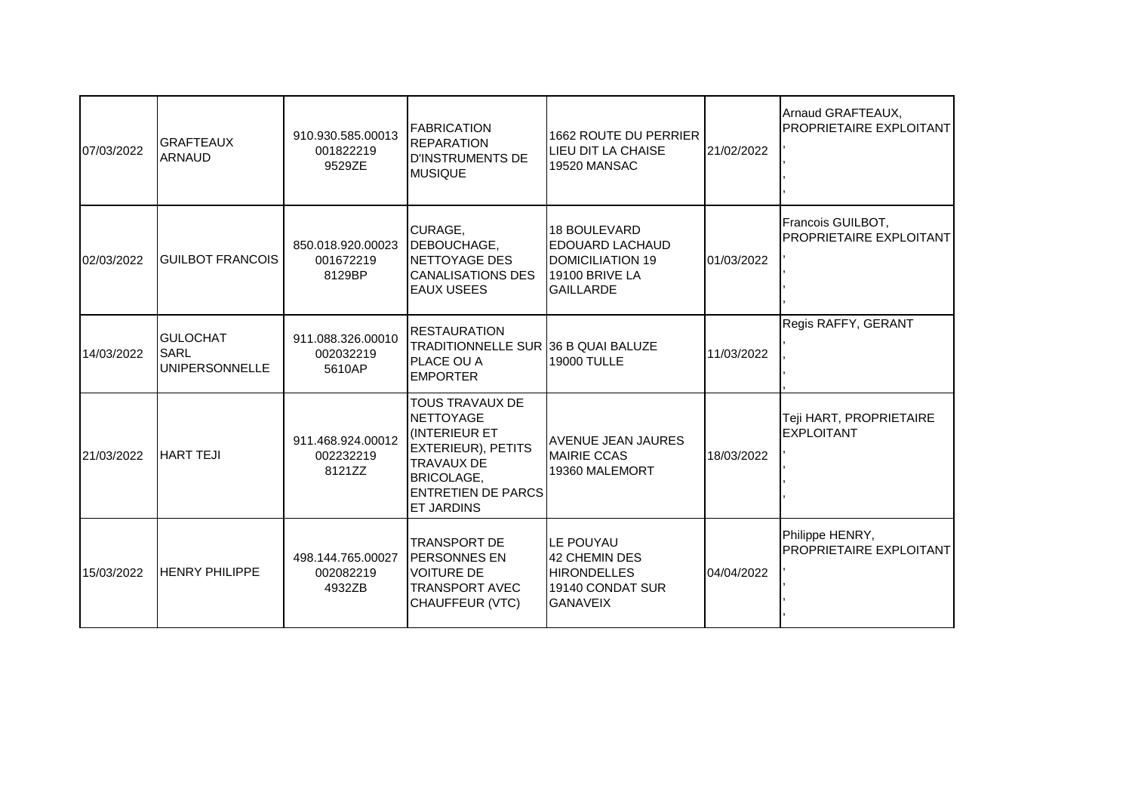| 07/03/2022 | <b>GRAFTEAUX</b><br><b>ARNAUD</b>                       | 910.930.585.00013<br>001822219<br>9529ZE | <b>FABRICATION</b><br><b>REPARATION</b><br><b>D'INSTRUMENTS DE</b><br><b>MUSIQUE</b>                                                                                                | 1662 ROUTE DU PERRIER<br>LIEU DIT LA CHAISE<br>19520 MANSAC                                             | 21/02/2022 | Arnaud GRAFTEAUX,<br><b>PROPRIETAIRE EXPLOITANT</b> |
|------------|---------------------------------------------------------|------------------------------------------|-------------------------------------------------------------------------------------------------------------------------------------------------------------------------------------|---------------------------------------------------------------------------------------------------------|------------|-----------------------------------------------------|
| 02/03/2022 | <b>GUILBOT FRANCOIS</b>                                 | 850.018.920.00023<br>001672219<br>8129BP | CURAGE,<br>DEBOUCHAGE,<br>NETTOYAGE DES<br><b>CANALISATIONS DES</b><br><b>EAUX USEES</b>                                                                                            | 18 BOULEVARD<br><b>EDOUARD LACHAUD</b><br><b>DOMICILIATION 19</b><br>19100 BRIVE LA<br><b>GAILLARDE</b> | 01/03/2022 | Francois GUILBOT,<br>PROPRIETAIRE EXPLOITANT        |
| 14/03/2022 | <b>GULOCHAT</b><br><b>SARL</b><br><b>UNIPERSONNELLE</b> | 911.088.326.00010<br>002032219<br>5610AP | <b>RESTAURATION</b><br>TRADITIONNELLE SUR 36 B QUAI BALUZE<br>PLACE OU A<br><b>EMPORTER</b>                                                                                         | <b>19000 TULLE</b>                                                                                      | 11/03/2022 | Regis RAFFY, GERANT                                 |
| 21/03/2022 | <b>HART TEJI</b>                                        | 911.468.924.00012<br>002232219<br>8121ZZ | TOUS TRAVAUX DE<br><b>NETTOYAGE</b><br><b>INTERIEUR ET</b><br><b>EXTERIEUR), PETITS</b><br><b>TRAVAUX DE</b><br><b>BRICOLAGE.</b><br><b>ENTRETIEN DE PARCS</b><br><b>ET JARDINS</b> | <b>AVENUE JEAN JAURES</b><br><b>MAIRIE CCAS</b><br>19360 MALEMORT                                       | 18/03/2022 | Teji HART, PROPRIETAIRE<br><b>EXPLOITANT</b>        |
| 15/03/2022 | <b>HENRY PHILIPPE</b>                                   | 498.144.765.00027<br>002082219<br>4932ZB | <b>TRANSPORT DE</b><br><b>IPERSONNES EN</b><br><b>VOITURE DE</b><br><b>TRANSPORT AVEC</b><br>CHAUFFEUR (VTC)                                                                        | LE POUYAU<br>42 CHEMIN DES<br><b>HIRONDELLES</b><br>19140 CONDAT SUR<br><b>GANAVEIX</b>                 | 04/04/2022 | Philippe HENRY,<br>PROPRIETAIRE EXPLOITANT          |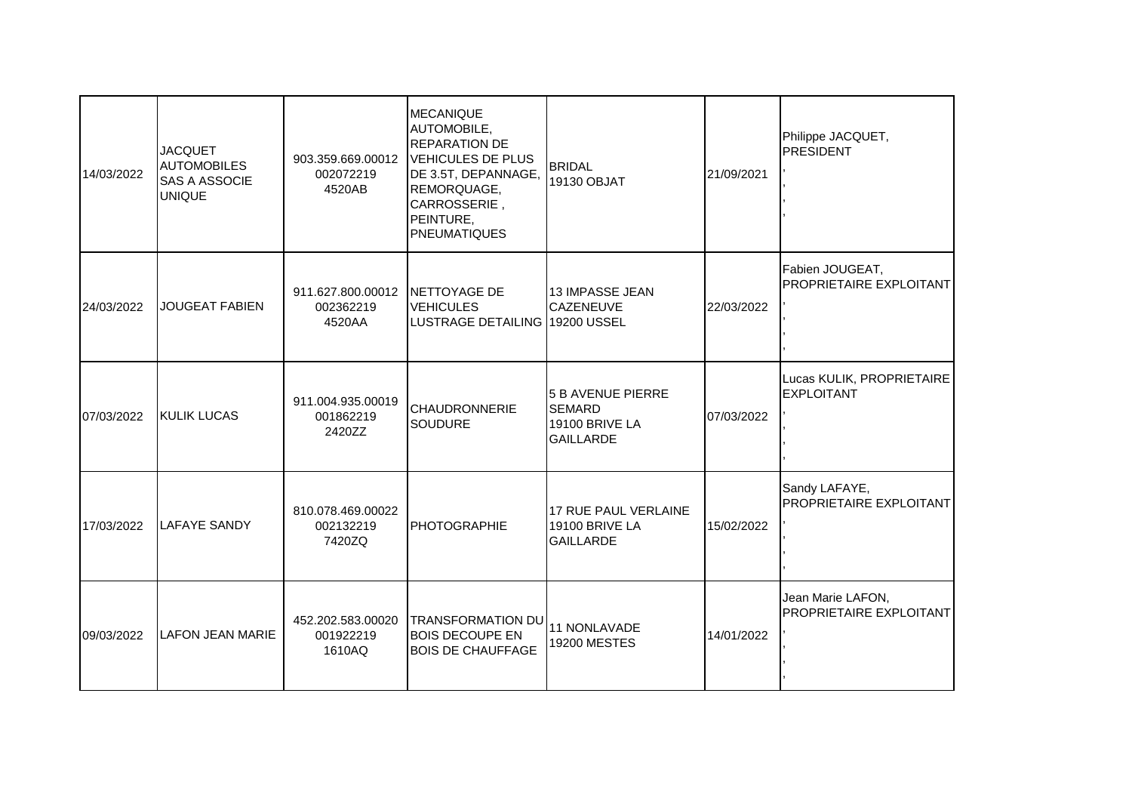| 14/03/2022 | <b>JACQUET</b><br><b>AUTOMOBILES</b><br><b>SAS A ASSOCIE</b><br><b>UNIQUE</b> | 903.359.669.00012<br>002072219<br>4520AB | <b>MECANIQUE</b><br>AUTOMOBILE,<br><b>REPARATION DE</b><br><b>VEHICULES DE PLUS</b><br>DE 3.5T, DEPANNAGE,<br>REMORQUAGE,<br>CARROSSERIE,<br>PEINTURE,<br><b>PNEUMATIQUES</b> | <b>BRIDAL</b><br>19130 OBJAT                                                    | 21/09/2021 | Philippe JACQUET,<br><b>PRESIDENT</b>          |
|------------|-------------------------------------------------------------------------------|------------------------------------------|-------------------------------------------------------------------------------------------------------------------------------------------------------------------------------|---------------------------------------------------------------------------------|------------|------------------------------------------------|
| 24/03/2022 | <b>JOUGEAT FABIEN</b>                                                         | 911.627.800.00012<br>002362219<br>4520AA | <b>INETTOYAGE DE</b><br><b>VEHICULES</b><br>LUSTRAGE DETAILING 19200 USSEL                                                                                                    | 13 IMPASSE JEAN<br><b>CAZENEUVE</b>                                             | 22/03/2022 | Fabien JOUGEAT,<br>PROPRIETAIRE EXPLOITANT     |
| 07/03/2022 | <b>KULIK LUCAS</b>                                                            | 911.004.935.00019<br>001862219<br>2420ZZ | <b>CHAUDRONNERIE</b><br><b>SOUDURE</b>                                                                                                                                        | <b>5 B AVENUE PIERRE</b><br><b>SEMARD</b><br>19100 BRIVE LA<br><b>GAILLARDE</b> | 07/03/2022 | Lucas KULIK, PROPRIETAIRE<br><b>EXPLOITANT</b> |
| 17/03/2022 | <b>LAFAYE SANDY</b>                                                           | 810.078.469.00022<br>002132219<br>7420ZQ | <b>PHOTOGRAPHIE</b>                                                                                                                                                           | 17 RUE PAUL VERLAINE<br>19100 BRIVE LA<br><b>GAILLARDE</b>                      | 15/02/2022 | Sandy LAFAYE,<br>PROPRIETAIRE EXPLOITANT       |
| 09/03/2022 | LAFON JEAN MARIE                                                              | 452.202.583.00020<br>001922219<br>1610AQ | <b>TRANSFORMATION DU</b><br><b>BOIS DECOUPE EN</b><br><b>BOIS DE CHAUFFAGE</b>                                                                                                | 11 NONLAVADE<br><b>19200 MESTES</b>                                             | 14/01/2022 | Jean Marie LAFON,<br>PROPRIETAIRE EXPLOITANT   |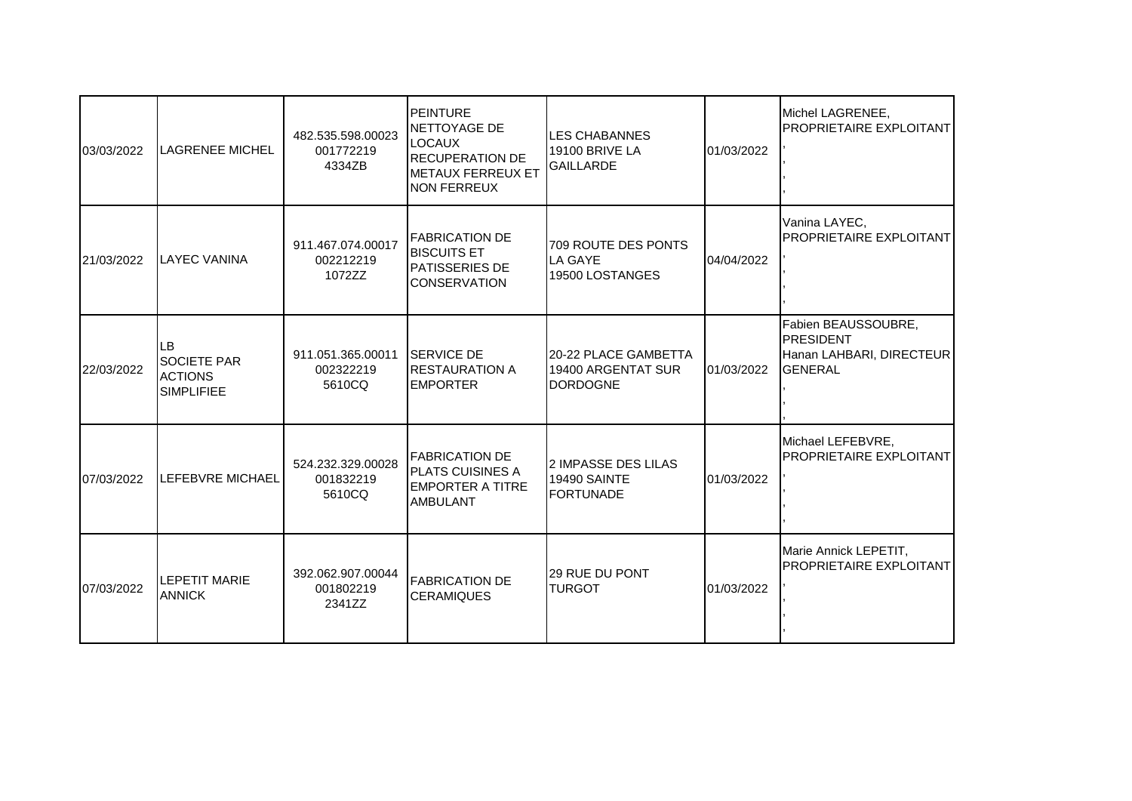| 03/03/2022 | <b>LAGRENEE MICHEL</b>                                          | 482.535.598.00023<br>001772219<br>4334ZB            | <b>PEINTURE</b><br>NETTOYAGE DE<br><b>LOCAUX</b><br><b>RECUPERATION DE</b><br>IMETAUX FERREUX ET<br><b>NON FERREUX</b> | <b>LES CHABANNES</b><br><b>19100 BRIVE LA</b><br><b>GAILLARDE</b> | 01/03/2022 | Michel LAGRENEE,<br>PROPRIETAIRE EXPLOITANT                                           |
|------------|-----------------------------------------------------------------|-----------------------------------------------------|------------------------------------------------------------------------------------------------------------------------|-------------------------------------------------------------------|------------|---------------------------------------------------------------------------------------|
| 21/03/2022 | <b>LAYEC VANINA</b>                                             | 911.467.074.00017<br>002212219<br>1072ZZ            | <b>FABRICATION DE</b><br><b>BISCUITS ET</b><br><b>PATISSERIES DE</b><br><b>CONSERVATION</b>                            | 709 ROUTE DES PONTS<br>LA GAYE<br>19500 LOSTANGES                 | 04/04/2022 | Vanina LAYEC,<br>PROPRIETAIRE EXPLOITANT                                              |
| 22/03/2022 | LВ<br><b>SOCIETE PAR</b><br><b>ACTIONS</b><br><b>SIMPLIFIEE</b> | 911.051.365.00011 SERVICE DE<br>002322219<br>5610CQ | <b>IRESTAURATION A</b><br><b>EMPORTER</b>                                                                              | 20-22 PLACE GAMBETTA<br>19400 ARGENTAT SUR<br><b>IDORDOGNE</b>    | 01/03/2022 | Fabien BEAUSSOUBRE,<br><b>PRESIDENT</b><br>Hanan LAHBARI, DIRECTEUR<br><b>GENERAL</b> |
| 07/03/2022 | LEFEBVRE MICHAEL                                                | 524.232.329.00028<br>001832219<br>5610CQ            | <b>FABRICATION DE</b><br><b>PLATS CUISINES A</b><br><b>EMPORTER A TITRE</b><br><b>AMBULANT</b>                         | 2 IMPASSE DES LILAS<br><b>19490 SAINTE</b><br><b>FORTUNADE</b>    | 01/03/2022 | Michael LEFEBVRE,<br><b>PROPRIETAIRE EXPLOITANT</b>                                   |
| 07/03/2022 | <b>LEPETIT MARIE</b><br><b>ANNICK</b>                           | 392.062.907.00044<br>001802219<br>2341ZZ            | <b>FABRICATION DE</b><br><b>CERAMIQUES</b>                                                                             | <b>29 RUE DU PONT</b><br><b>TURGOT</b>                            | 01/03/2022 | Marie Annick LEPETIT,<br>PROPRIETAIRE EXPLOITANT                                      |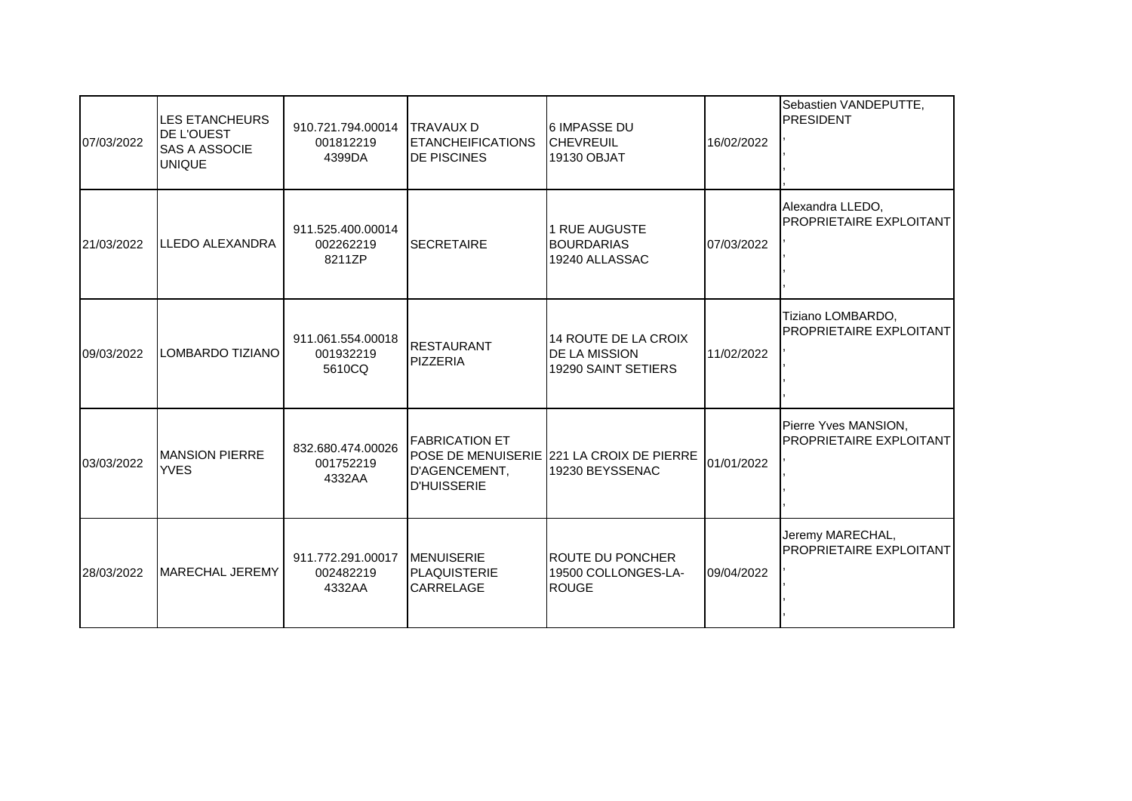| 07/03/2022 | LES ETANCHEURS<br>DE L'OUEST<br><b>SAS A ASSOCIE</b><br><b>UNIQUE</b> | 910.721.794.00014<br>001812219<br>4399DA            | <b>ITRAVAUX D</b><br><b>ETANCHEIFICATIONS</b><br><b>DE PISCINES</b> | 6 IMPASSE DU<br><b>CHEVREUIL</b><br>19130 OBJAT                     | 16/02/2022 | Sebastien VANDEPUTTE,<br><b>PRESIDENT</b>       |
|------------|-----------------------------------------------------------------------|-----------------------------------------------------|---------------------------------------------------------------------|---------------------------------------------------------------------|------------|-------------------------------------------------|
| 21/03/2022 | LLEDO ALEXANDRA                                                       | 911.525.400.00014<br>002262219<br>8211ZP            | <b>SECRETAIRE</b>                                                   | 1 RUE AUGUSTE<br><b>BOURDARIAS</b><br>19240 ALLASSAC                | 07/03/2022 | Alexandra LLEDO,<br>PROPRIETAIRE EXPLOITANT     |
| 09/03/2022 | LOMBARDO TIZIANO                                                      | 911.061.554.00018<br>001932219<br>5610CQ            | <b>RESTAURANT</b><br>PIZZERIA                                       | 14 ROUTE DE LA CROIX<br><b>DE LA MISSION</b><br>19290 SAINT SETIERS | 11/02/2022 | Tiziano LOMBARDO,<br>PROPRIETAIRE EXPLOITANT    |
| 03/03/2022 | <b>MANSION PIERRE</b><br><b>YVES</b>                                  | 832.680.474.00026<br>001752219<br>4332AA            | <b>FABRICATION ET</b><br>D'AGENCEMENT,<br><b>D'HUISSERIE</b>        | POSE DE MENUISERIE 221 LA CROIX DE PIERRE<br>19230 BEYSSENAC        | 01/01/2022 | Pierre Yves MANSION,<br>PROPRIETAIRE EXPLOITANT |
| 28/03/2022 | <b>MARECHAL JEREMY</b>                                                | 911.772.291.00017 MENUISERIE<br>002482219<br>4332AA | <b>PLAQUISTERIE</b><br>CARRELAGE                                    | ROUTE DU PONCHER<br>19500 COLLONGES-LA-<br><b>ROUGE</b>             | 09/04/2022 | Jeremy MARECHAL,<br>PROPRIETAIRE EXPLOITANT     |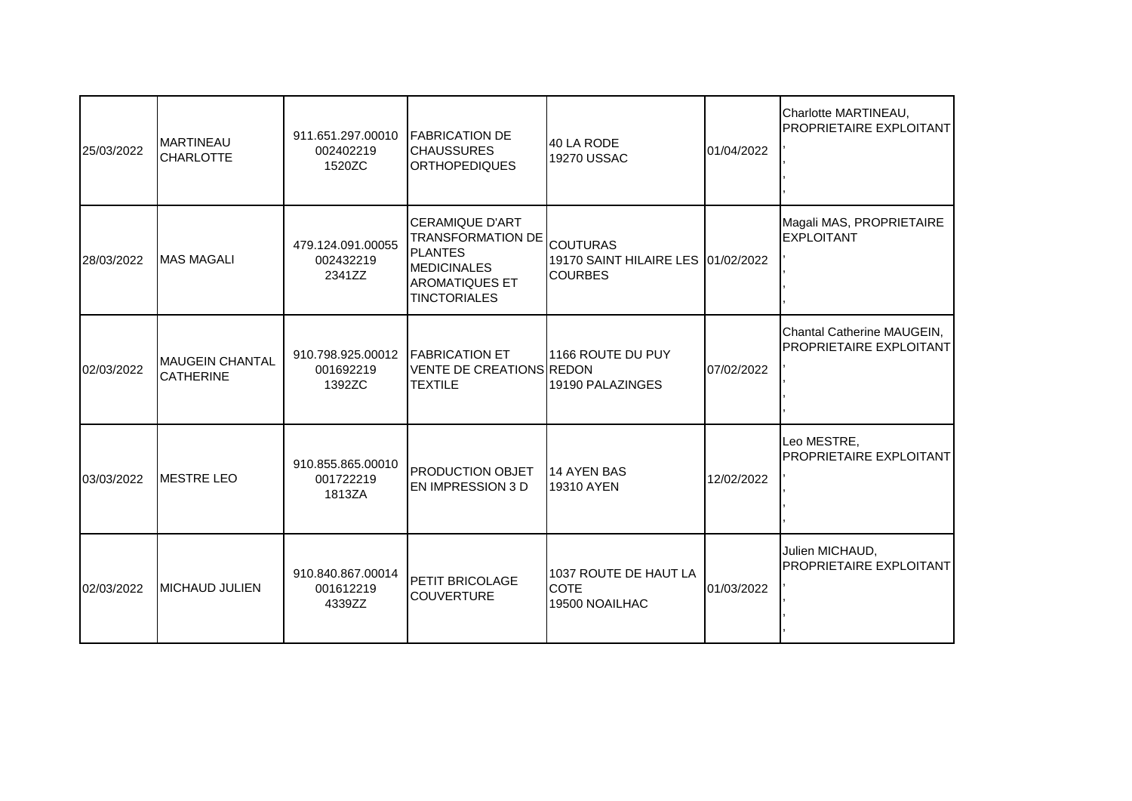| 25/03/2022 | <b>MARTINEAU</b><br><b>CHARLOTTE</b> | 911.651.297.00010 FABRICATION DE<br>002402219<br>1520ZC | <b>CHAUSSURES</b><br><b>ORTHOPEDIQUES</b>                                                                                                  | 40 LA RODE<br>19270 USSAC                                               | 01/04/2022 | Charlotte MARTINEAU,<br>PROPRIETAIRE EXPLOITANT       |
|------------|--------------------------------------|---------------------------------------------------------|--------------------------------------------------------------------------------------------------------------------------------------------|-------------------------------------------------------------------------|------------|-------------------------------------------------------|
| 28/03/2022 | <b>MAS MAGALI</b>                    | 479.124.091.00055<br>002432219<br>2341ZZ                | <b>CERAMIQUE D'ART</b><br><b>TRANSFORMATION DE</b><br><b>PLANTES</b><br><b>MEDICINALES</b><br><b>AROMATIQUES ET</b><br><b>TINCTORIALES</b> | <b>COUTURAS</b><br>19170 SAINT HILAIRE LES 01/02/2022<br><b>COURBES</b> |            | Magali MAS, PROPRIETAIRE<br><b>EXPLOITANT</b>         |
| 02/03/2022 | MAUGEIN CHANTAL<br><b>CATHERINE</b>  | 910.798.925.00012 FABRICATION ET<br>001692219<br>1392ZC | <b>VENTE DE CREATIONS REDON</b><br><b>TEXTILE</b>                                                                                          | 1166 ROUTE DU PUY<br>19190 PALAZINGES                                   | 07/02/2022 | Chantal Catherine MAUGEIN,<br>PROPRIETAIRE EXPLOITANT |
| 03/03/2022 | <b>IMESTRE LEO</b>                   | 910.855.865.00010<br>001722219<br>1813ZA                | <b>PRODUCTION OBJET</b><br><b>EN IMPRESSION 3 D</b>                                                                                        | <b>14 AYEN BAS</b><br>19310 AYEN                                        | 12/02/2022 | Leo MESTRE,<br>PROPRIETAIRE EXPLOITANT                |
| 02/03/2022 | <b>MICHAUD JULIEN</b>                | 910.840.867.00014<br>001612219<br>4339ZZ                | <b>PETIT BRICOLAGE</b><br><b>COUVERTURE</b>                                                                                                | 1037 ROUTE DE HAUT LA<br><b>COTE</b><br>19500 NOAILHAC                  | 01/03/2022 | Julien MICHAUD,<br>PROPRIETAIRE EXPLOITANT            |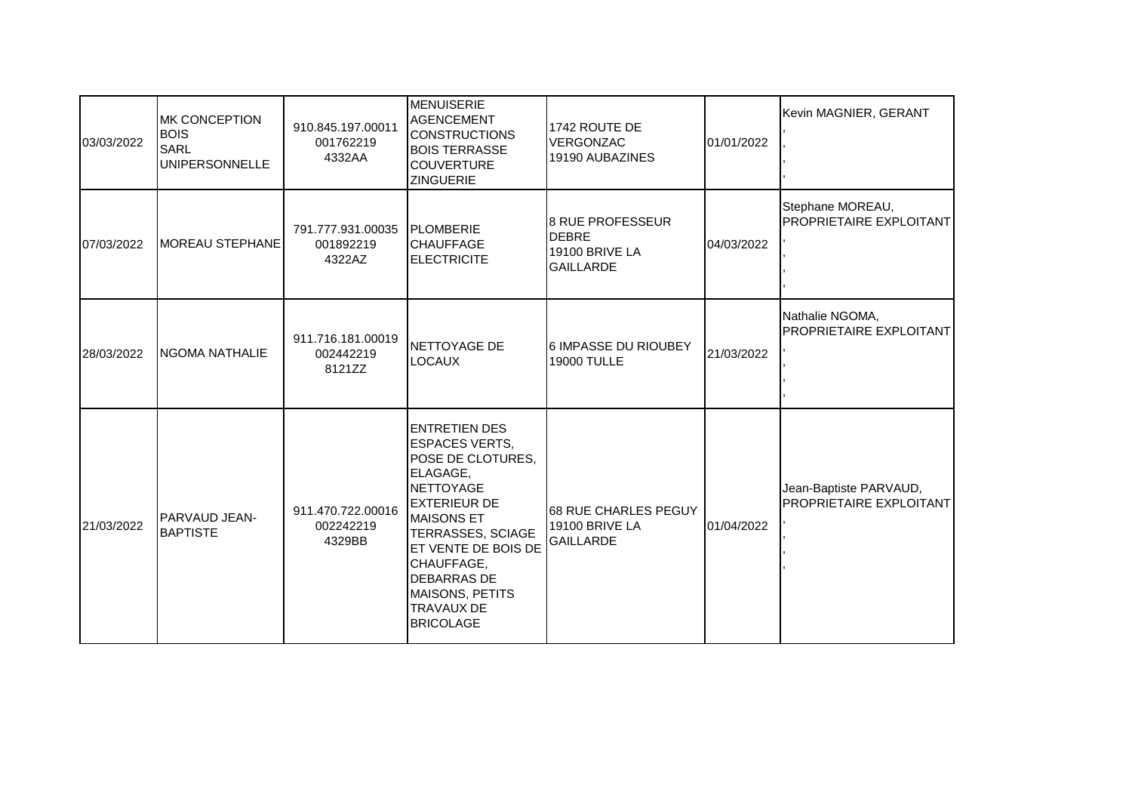| 03/03/2022 | <b>MK CONCEPTION</b><br><b>BOIS</b><br><b>SARL</b><br><b>UNIPERSONNELLE</b> | 910.845.197.00011<br>001762219<br>4332AA | <b>MENUISERIE</b><br><b>AGENCEMENT</b><br><b>CONSTRUCTIONS</b><br><b>BOIS TERRASSE</b><br><b>COUVERTURE</b><br><b>ZINGUERIE</b>                                                                                                                                                     | 1742 ROUTE DE<br>VERGONZAC<br>19190 AUBAZINES                                 | 01/01/2022 | Kevin MAGNIER, GERANT                             |
|------------|-----------------------------------------------------------------------------|------------------------------------------|-------------------------------------------------------------------------------------------------------------------------------------------------------------------------------------------------------------------------------------------------------------------------------------|-------------------------------------------------------------------------------|------------|---------------------------------------------------|
| 07/03/2022 | <b>MOREAU STEPHANE</b>                                                      | 791.777.931.00035<br>001892219<br>4322AZ | <b>PLOMBERIE</b><br><b>CHAUFFAGE</b><br><b>ELECTRICITE</b>                                                                                                                                                                                                                          | <b>8 RUE PROFESSEUR</b><br><b>DEBRE</b><br>19100 BRIVE LA<br><b>GAILLARDE</b> | 04/03/2022 | Stephane MOREAU,<br>PROPRIETAIRE EXPLOITANT       |
| 28/03/2022 | <b>INGOMA NATHALIE</b>                                                      | 911.716.181.00019<br>002442219<br>8121ZZ | NETTOYAGE DE<br><b>LOCAUX</b>                                                                                                                                                                                                                                                       | 6 IMPASSE DU RIOUBEY<br><b>19000 TULLE</b>                                    | 21/03/2022 | Nathalie NGOMA,<br>PROPRIETAIRE EXPLOITANT        |
| 21/03/2022 | PARVAUD JEAN-<br><b>BAPTISTE</b>                                            | 911.470.722.00016<br>002242219<br>4329BB | ENTRETIEN DES<br><b>ESPACES VERTS,</b><br>POSE DE CLOTURES,<br>ELAGAGE.<br><b>NETTOYAGE</b><br><b>EXTERIEUR DE</b><br><b>MAISONS ET</b><br>TERRASSES, SCIAGE<br>ET VENTE DE BOIS DE<br>CHAUFFAGE,<br>DEBARRAS DE<br><b>MAISONS, PETITS</b><br><b>TRAVAUX DE</b><br><b>BRICOLAGE</b> | 68 RUE CHARLES PEGUY<br><b>19100 BRIVE LA</b><br><b>GAILLARDE</b>             | 01/04/2022 | Jean-Baptiste PARVAUD,<br>PROPRIETAIRE EXPLOITANT |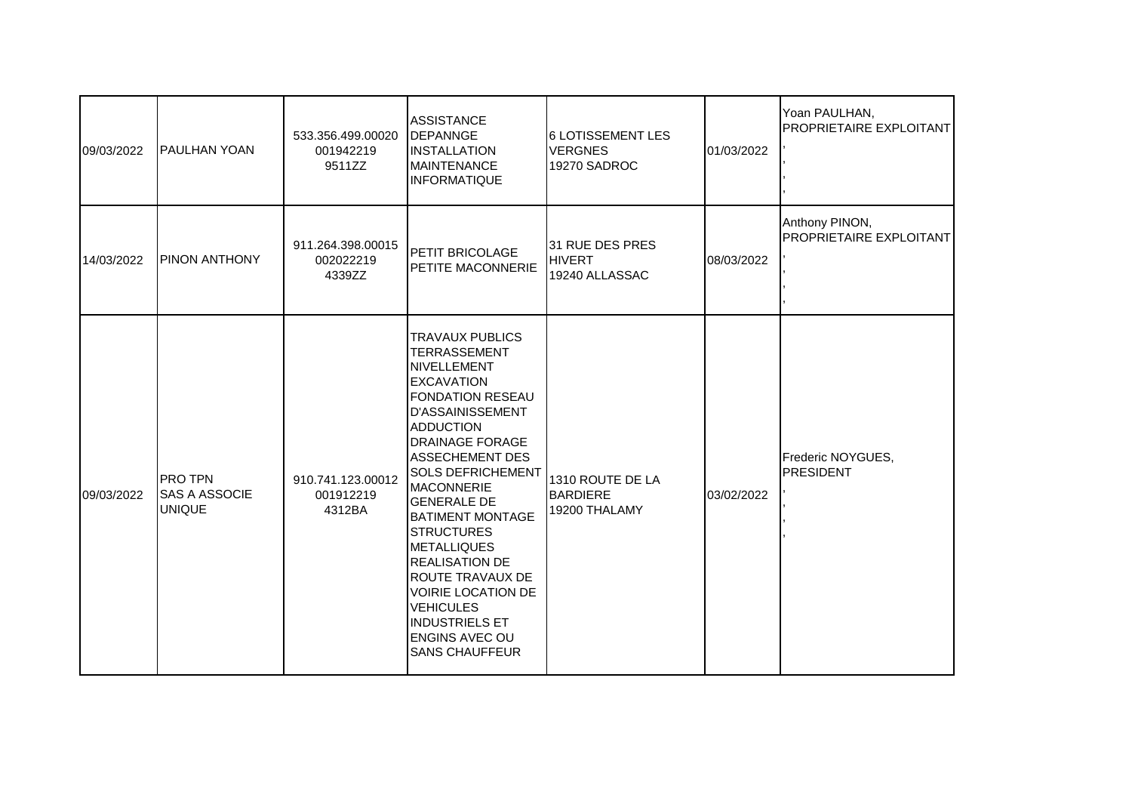| 09/03/2022 | PAULHAN YOAN                                            | 533.356.499.00020<br>001942219<br>9511ZZ | <b>ASSISTANCE</b><br><b>IDEPANNGE</b><br><b>INSTALLATION</b><br><b>MAINTENANCE</b><br><b>INFORMATIQUE</b>                                                                                                                                                                                                                                                                                                                                                                                                                                    | 6 LOTISSEMENT LES<br><b>VERGNES</b><br>19270 SADROC  | 01/03/2022 | Yoan PAULHAN,<br>PROPRIETAIRE EXPLOITANT  |
|------------|---------------------------------------------------------|------------------------------------------|----------------------------------------------------------------------------------------------------------------------------------------------------------------------------------------------------------------------------------------------------------------------------------------------------------------------------------------------------------------------------------------------------------------------------------------------------------------------------------------------------------------------------------------------|------------------------------------------------------|------------|-------------------------------------------|
| 14/03/2022 | PINON ANTHONY                                           | 911.264.398.00015<br>002022219<br>4339ZZ | <b>PETIT BRICOLAGE</b><br>PETITE MACONNERIE                                                                                                                                                                                                                                                                                                                                                                                                                                                                                                  | 31 RUE DES PRES<br><b>HIVERT</b><br>19240 ALLASSAC   | 08/03/2022 | Anthony PINON,<br>PROPRIETAIRE EXPLOITANT |
| 09/03/2022 | <b>PRO TPN</b><br><b>SAS A ASSOCIE</b><br><b>UNIQUE</b> | 910.741.123.00012<br>001912219<br>4312BA | <b>TRAVAUX PUBLICS</b><br><b>TERRASSEMENT</b><br>NIVELLEMENT<br><b>EXCAVATION</b><br><b>FONDATION RESEAU</b><br><b>D'ASSAINISSEMENT</b><br><b>ADDUCTION</b><br><b>DRAINAGE FORAGE</b><br><b>ASSECHEMENT DES</b><br><b>SOLS DEFRICHEMENT</b><br><b>MACONNERIE</b><br><b>GENERALE DE</b><br><b>BATIMENT MONTAGE</b><br><b>STRUCTURES</b><br><b>METALLIQUES</b><br><b>REALISATION DE</b><br><b>ROUTE TRAVAUX DE</b><br><b>VOIRIE LOCATION DE</b><br><b>VEHICULES</b><br><b>INDUSTRIELS ET</b><br><b>ENGINS AVEC OU</b><br><b>SANS CHAUFFEUR</b> | 1310 ROUTE DE LA<br><b>BARDIERE</b><br>19200 THALAMY | 03/02/2022 | Frederic NOYGUES,<br>PRESIDENT            |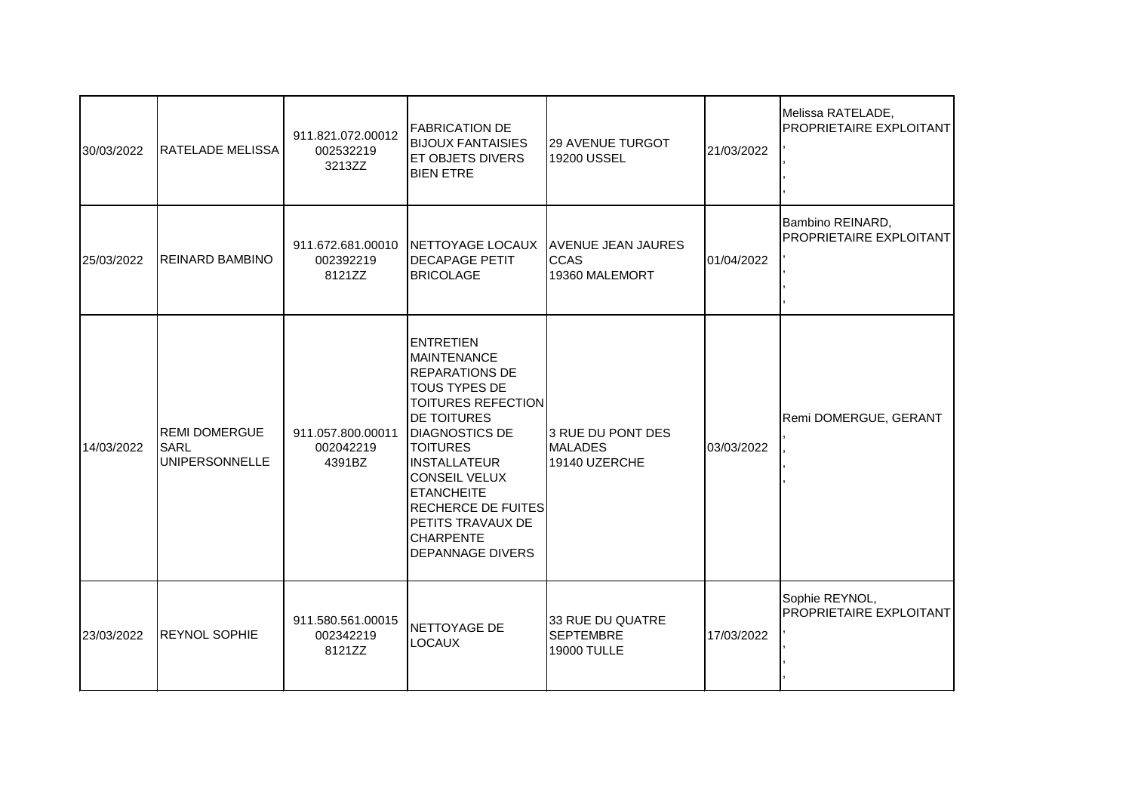| 30/03/2022 | <b>I</b> RATELADE MELISSA                                    | 911.821.072.00012<br>002532219<br>3213ZZ | <b>FABRICATION DE</b><br><b>BIJOUX FANTAISIES</b><br><b>IET OBJETS DIVERS</b><br><b>BIEN ETRE</b>                                                                                                                                                                                                                                                    | 29 AVENUE TURGOT<br><b>19200 USSEL</b>                     | 21/03/2022 | Melissa RATELADE,<br>PROPRIETAIRE EXPLOITANT |
|------------|--------------------------------------------------------------|------------------------------------------|------------------------------------------------------------------------------------------------------------------------------------------------------------------------------------------------------------------------------------------------------------------------------------------------------------------------------------------------------|------------------------------------------------------------|------------|----------------------------------------------|
| 25/03/2022 | <b>REINARD BAMBINO</b>                                       | 002392219<br>8121ZZ                      | 911.672.681.00010 NETTOYAGE LOCAUX<br><b>DECAPAGE PETIT</b><br><b>BRICOLAGE</b>                                                                                                                                                                                                                                                                      | <b>AVENUE JEAN JAURES</b><br><b>CCAS</b><br>19360 MALEMORT | 01/04/2022 | Bambino REINARD,<br>PROPRIETAIRE EXPLOITANT  |
| 14/03/2022 | <b>REMI DOMERGUE</b><br><b>SARL</b><br><b>UNIPERSONNELLE</b> | 911.057.800.00011<br>002042219<br>4391BZ | <b>ENTRETIEN</b><br><b>MAINTENANCE</b><br><b>REPARATIONS DE</b><br><b>TOUS TYPES DE</b><br><b>TOITURES REFECTION</b><br><b>DE TOITURES</b><br><b>DIAGNOSTICS DE</b><br><b>TOITURES</b><br><b>INSTALLATEUR</b><br><b>CONSEIL VELUX</b><br><b>ETANCHEITE</b><br>RECHERCE DE FUITES<br>PETITS TRAVAUX DE<br><b>CHARPENTE</b><br><b>DEPANNAGE DIVERS</b> | I3 RUE DU PONT DES<br><b>MALADES</b><br>19140 UZERCHE      | 03/03/2022 | Remi DOMERGUE, GERANT                        |
| 23/03/2022 | <b>IREYNOL SOPHIE</b>                                        | 911.580.561.00015<br>002342219<br>8121ZZ | NETTOYAGE DE<br><b>LOCAUX</b>                                                                                                                                                                                                                                                                                                                        | 33 RUE DU QUATRE<br><b>SEPTEMBRE</b><br><b>19000 TULLE</b> | 17/03/2022 | Sophie REYNOL,<br>PROPRIETAIRE EXPLOITANT    |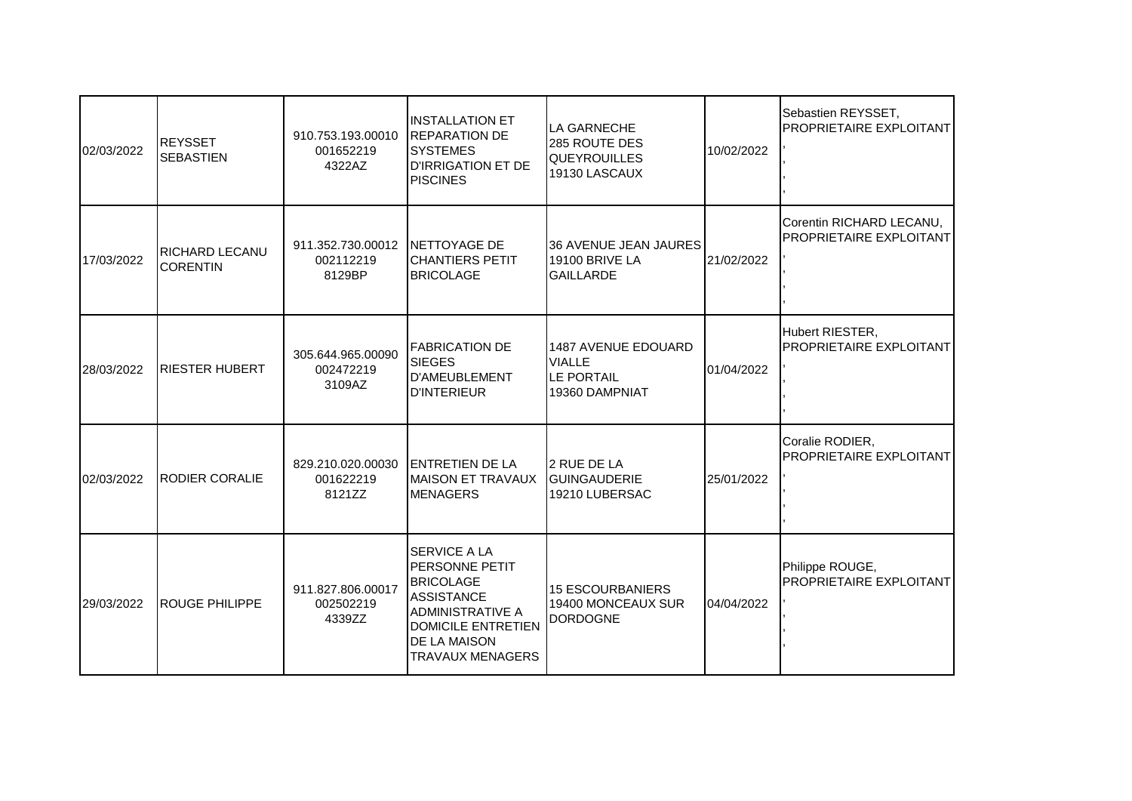| 02/03/2022 | <b>REYSSET</b><br><b>SEBASTIEN</b>       | 910.753.193.00010<br>001652219<br>4322AZ               | <b>INSTALLATION ET</b><br><b>IREPARATION DE</b><br><b>SYSTEMES</b><br><b>D'IRRIGATION ET DE</b><br><b>PISCINES</b>                                                         | <b>LA GARNECHE</b><br>285 ROUTE DES<br><b>QUEYROUILLES</b><br>19130 LASCAUX | 10/02/2022 | Sebastien REYSSET,<br><b>PROPRIETAIRE EXPLOITANT</b> |
|------------|------------------------------------------|--------------------------------------------------------|----------------------------------------------------------------------------------------------------------------------------------------------------------------------------|-----------------------------------------------------------------------------|------------|------------------------------------------------------|
| 17/03/2022 | <b>RICHARD LECANU</b><br><b>CORENTIN</b> | 911.352.730.00012 INETTOYAGE DE<br>002112219<br>8129BP | <b>CHANTIERS PETIT</b><br><b>BRICOLAGE</b>                                                                                                                                 | <b>36 AVENUE JEAN JAURES</b><br>19100 BRIVE LA<br><b>GAILLARDE</b>          | 21/02/2022 | Corentin RICHARD LECANU,<br>PROPRIETAIRE EXPLOITANT  |
| 28/03/2022 | <b>RIESTER HUBERT</b>                    | 305.644.965.00090<br>002472219<br>3109AZ               | <b>FABRICATION DE</b><br><b>SIEGES</b><br><b>D'AMEUBLEMENT</b><br><b>D'INTERIEUR</b>                                                                                       | 1487 AVENUE EDOUARD<br><b>VIALLE</b><br>LE PORTAIL<br>19360 DAMPNIAT        | 01/04/2022 | Hubert RIESTER,<br>PROPRIETAIRE EXPLOITANT           |
| 02/03/2022 | <b>RODIER CORALIE</b>                    | 829.210.020.00030<br>001622219<br>8121ZZ               | <b>ENTRETIEN DE LA</b><br>MAISON ET TRAVAUX<br><b>MENAGERS</b>                                                                                                             | 2 RUE DE LA<br><b>GUINGAUDERIE</b><br>19210 LUBERSAC                        | 25/01/2022 | Coralie RODIER,<br>PROPRIETAIRE EXPLOITANT           |
| 29/03/2022 | <b>ROUGE PHILIPPE</b>                    | 911.827.806.00017<br>002502219<br>4339ZZ               | <b>SERVICE A LA</b><br>PERSONNE PETIT<br><b>BRICOLAGE</b><br><b>ASSISTANCE</b><br><b>ADMINISTRATIVE A</b><br><b>DOMICILE ENTRETIEN</b><br>DE LA MAISON<br>TRAVAUX MENAGERS | <b>15 ESCOURBANIERS</b><br>19400 MONCEAUX SUR<br><b>DORDOGNE</b>            | 04/04/2022 | Philippe ROUGE,<br>PROPRIETAIRE EXPLOITANT           |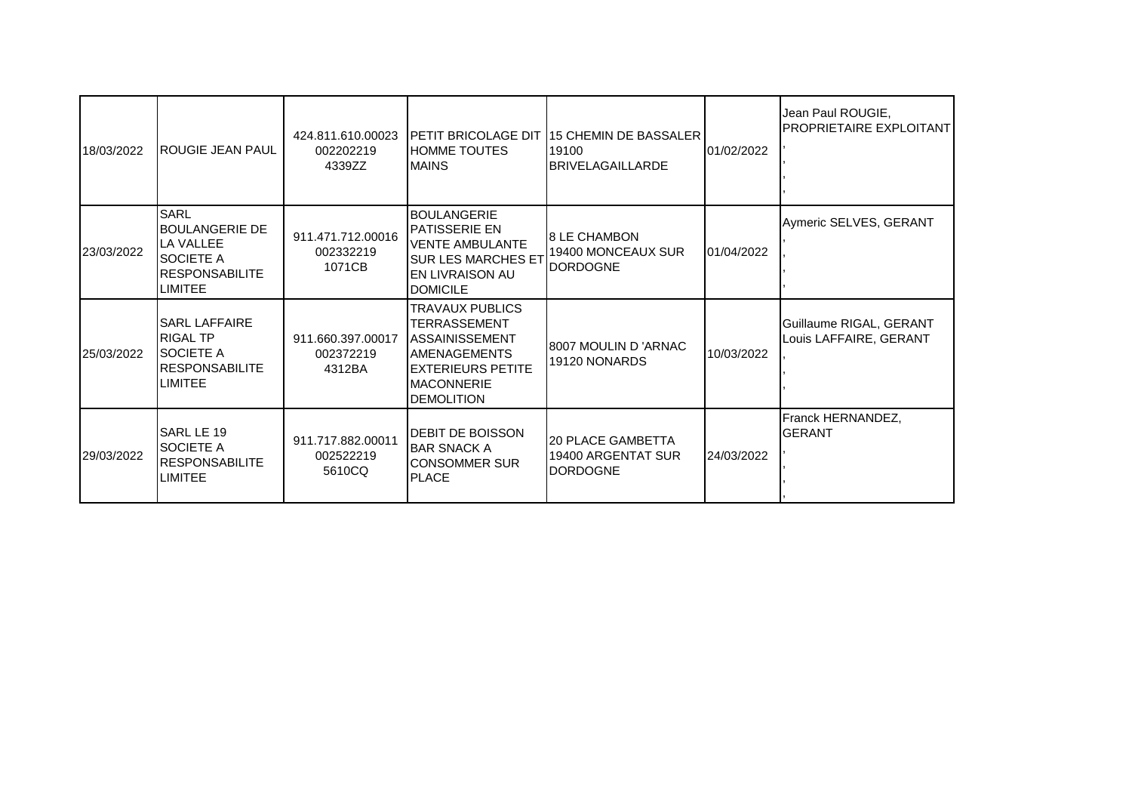| 18/03/2022 | <b>IROUGIE JEAN PAUL</b>                                                                                                    | 424.811.610.00023<br>002202219<br>4339ZZ | <b>IPETIT BRICOLAGE DIT</b><br><b>HOMME TOUTES</b><br><b>MAINS</b>                                                                                     | <b>115 CHEMIN DE BASSALER</b><br>19100<br><b>BRIVELAGAILLARDE</b> | 01/02/2022 | Jean Paul ROUGIE,<br><b>IPROPRIETAIRE EXPLOITANT</b> |
|------------|-----------------------------------------------------------------------------------------------------------------------------|------------------------------------------|--------------------------------------------------------------------------------------------------------------------------------------------------------|-------------------------------------------------------------------|------------|------------------------------------------------------|
| 23/03/2022 | <b>SARL</b><br><b>IBOULANGERIE DE</b><br><b>LA VALLEE</b><br><b>I</b> SOCIETE A<br><b>IRESPONSABILITE</b><br><b>LIMITEE</b> | 911.471.712.00016<br>002332219<br>1071CB | <b>BOULANGERIE</b><br>IPATISSERIE EN<br><b>VENTE AMBULANTE</b><br><b>SUR LES MARCHES ET</b><br><b>I</b> EN LIVRAISON AU<br><b>DOMICILE</b>             | <b>8 LE CHAMBON</b><br>19400 MONCEAUX SUR<br><b>DORDOGNE</b>      | 01/04/2022 | Aymeric SELVES, GERANT                               |
| 25/03/2022 | <b>I</b> SARL LAFFAIRE<br><b>RIGAL TP</b><br>ISOCIETE A<br><b>RESPONSABILITE</b><br>ILIMITEE                                | 911.660.397.00017<br>002372219<br>4312BA | TRAVAUX PUBLICS<br><b>TERRASSEMENT</b><br><b>ASSAINISSEMENT</b><br><b>AMENAGEMENTS</b><br>IEXTERIEURS PETITE<br><b>MACONNERIE</b><br><b>DEMOLITION</b> | I8007 MOULIN D 'ARNAC<br>19120 NONARDS                            | 10/03/2022 | Guillaume RIGAL, GERANT<br>Louis LAFFAIRE, GERANT    |
| 29/03/2022 | SARL LE 19<br><b>ISOCIETE A</b><br><b>RESPONSABILITE</b><br><b>LIMITEE</b>                                                  | 911.717.882.00011<br>002522219<br>5610CQ | <b>IDEBIT DE BOISSON</b><br><b>BAR SNACK A</b><br><b>CONSOMMER SUR</b><br><b>PLACE</b>                                                                 | 20 PLACE GAMBETTA<br>19400 ARGENTAT SUR<br><b>DORDOGNE</b>        | 24/03/2022 | Franck HERNANDEZ,<br>IGERANT                         |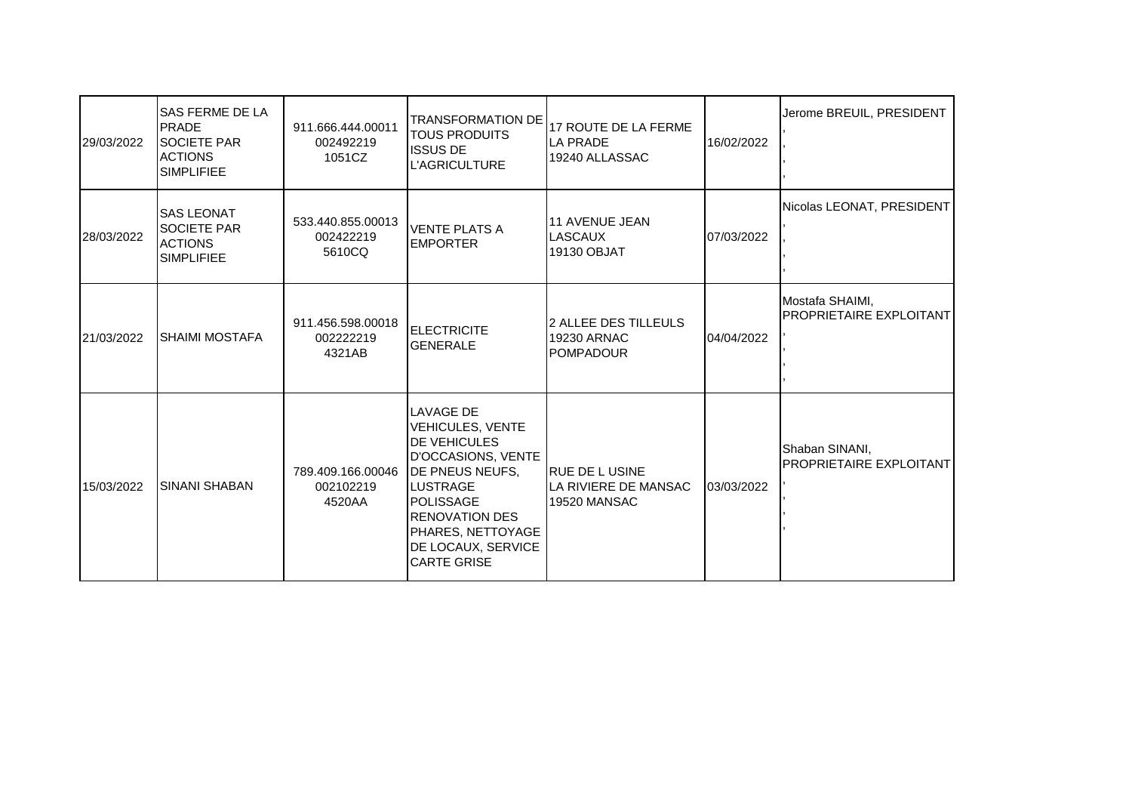| 29/03/2022 | SAS FERME DE LA<br><b>PRADE</b><br><b>SOCIETE PAR</b><br><b>ACTIONS</b><br><b>SIMPLIFIEE</b> | 911.666.444.00011<br>002492219<br>1051CZ | <b>ITOUS PRODUITS</b><br><b>ISSUS DE</b><br><b>L'AGRICULTURE</b>                                                                                                                                                                                    | TRANSFORMATION DE 17 ROUTE DE LA FERME<br>LA PRADE<br>19240 ALLASSAC   | 16/02/2022 | Jerome BREUIL, PRESIDENT                         |
|------------|----------------------------------------------------------------------------------------------|------------------------------------------|-----------------------------------------------------------------------------------------------------------------------------------------------------------------------------------------------------------------------------------------------------|------------------------------------------------------------------------|------------|--------------------------------------------------|
| 28/03/2022 | <b>SAS LEONAT</b><br><b>SOCIETE PAR</b><br><b>ACTIONS</b><br><b>SIMPLIFIEE</b>               | 533.440.855.00013<br>002422219<br>5610CQ | <b>VENTE PLATS A</b><br><b>EMPORTER</b>                                                                                                                                                                                                             | 11 AVENUE JEAN<br>LASCAUX<br>19130 OBJAT                               | 07/03/2022 | Nicolas LEONAT, PRESIDENT                        |
| 21/03/2022 | <b>SHAIMI MOSTAFA</b>                                                                        | 911.456.598.00018<br>002222219<br>4321AB | <b>ELECTRICITE</b><br><b>GENERALE</b>                                                                                                                                                                                                               | l2 ALLEE DES TILLEULS<br><b>19230 ARNAC</b><br><b>POMPADOUR</b>        | 04/04/2022 | Mostafa SHAIMI,<br>PROPRIETAIRE EXPLOITANT       |
| 15/03/2022 | <b>SINANI SHABAN</b>                                                                         | 789.409.166.00046<br>002102219<br>4520AA | <b>LAVAGE DE</b><br><b>VEHICULES, VENTE</b><br><b>DE VEHICULES</b><br>D'OCCASIONS, VENTE<br><b>DE PNEUS NEUFS,</b><br><b>LUSTRAGE</b><br><b>POLISSAGE</b><br><b>RENOVATION DES</b><br>PHARES, NETTOYAGE<br>DE LOCAUX, SERVICE<br><b>CARTE GRISE</b> | <b>I</b> RUE DE L USINE<br>LA RIVIERE DE MANSAC<br><b>19520 MANSAC</b> | 03/03/2022 | Shaban SINANI,<br><b>PROPRIETAIRE EXPLOITANT</b> |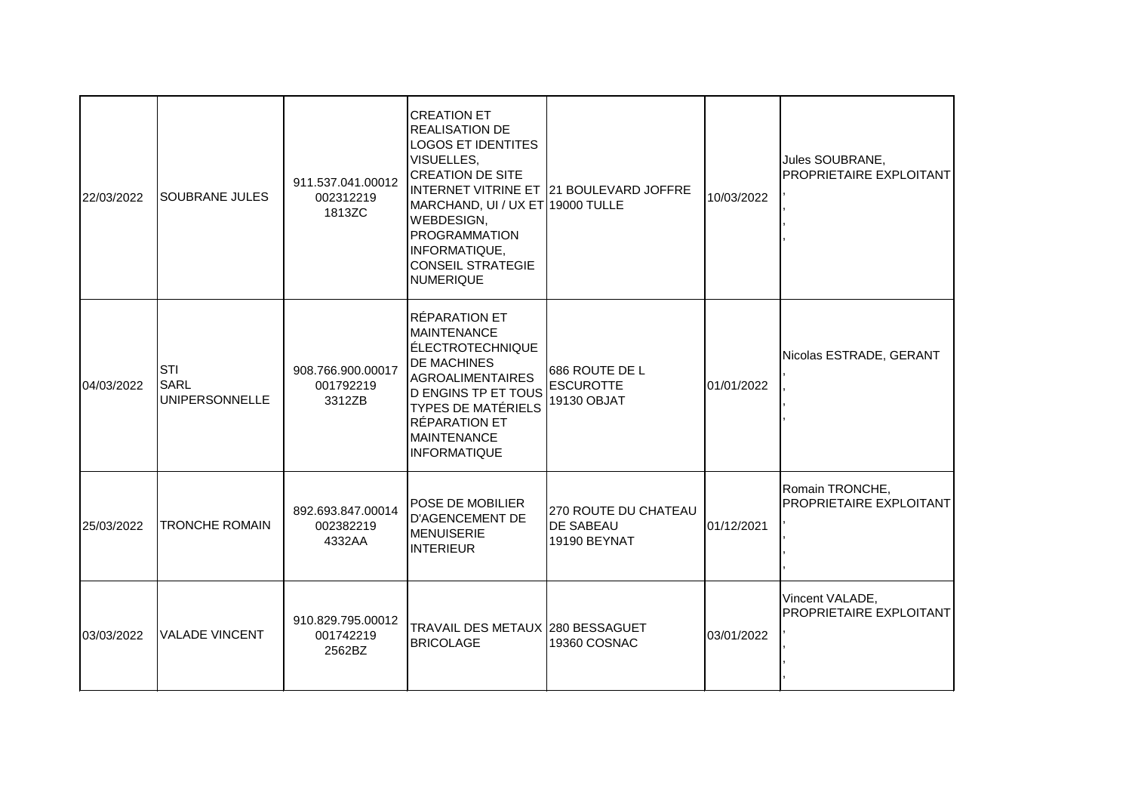| 22/03/2022 | <b>SOUBRANE JULES</b>                              | 911.537.041.00012<br>002312219<br>1813ZC | <b>CREATION ET</b><br><b>REALISATION DE</b><br><b>LOGOS ET IDENTITES</b><br>VISUELLES,<br><b>CREATION DE SITE</b><br>MARCHAND, UI / UX ET 19000 TULLE<br>WEBDESIGN,<br><b>PROGRAMMATION</b><br>INFORMATIQUE,<br><b>CONSEIL STRATEGIE</b><br><b>NUMERIQUE</b> | INTERNET VITRINE ET   21 BOULEVARD JOFFRE                | 10/03/2022 | Jules SOUBRANE,<br>PROPRIETAIRE EXPLOITANT        |
|------------|----------------------------------------------------|------------------------------------------|--------------------------------------------------------------------------------------------------------------------------------------------------------------------------------------------------------------------------------------------------------------|----------------------------------------------------------|------------|---------------------------------------------------|
| 04/03/2022 | <b>STI</b><br><b>SARL</b><br><b>UNIPERSONNELLE</b> | 908.766.900.00017<br>001792219<br>3312ZB | <b>RÉPARATION ET</b><br><b>MAINTENANCE</b><br><b>ÉLECTROTECHNIQUE</b><br><b>DE MACHINES</b><br><b>AGROALIMENTAIRES</b><br><b>D ENGINS TP ET TOUS</b><br><b>TYPES DE MATÉRIELS</b><br>RÉPARATION ET<br><b>MAINTENANCE</b><br><b>INFORMATIQUE</b>              | 686 ROUTE DE L<br><b>ESCUROTTE</b><br>19130 OBJAT        | 01/01/2022 | Nicolas ESTRADE, GERANT                           |
| 25/03/2022 | <b>TRONCHE ROMAIN</b>                              | 892.693.847.00014<br>002382219<br>4332AA | <b>POSE DE MOBILIER</b><br><b>D'AGENCEMENT DE</b><br><b>MENUISERIE</b><br><b>INTERIEUR</b>                                                                                                                                                                   | 270 ROUTE DU CHATEAU<br><b>DE SABEAU</b><br>19190 BEYNAT | 01/12/2021 | Romain TRONCHE,<br>PROPRIETAIRE EXPLOITANT        |
| 03/03/2022 | <b>VALADE VINCENT</b>                              | 910.829.795.00012<br>001742219<br>2562BZ | TRAVAIL DES METAUX 280 BESSAGUET<br><b>BRICOLAGE</b>                                                                                                                                                                                                         | 19360 COSNAC                                             | 03/01/2022 | Vincent VALADE,<br><b>PROPRIETAIRE EXPLOITANT</b> |